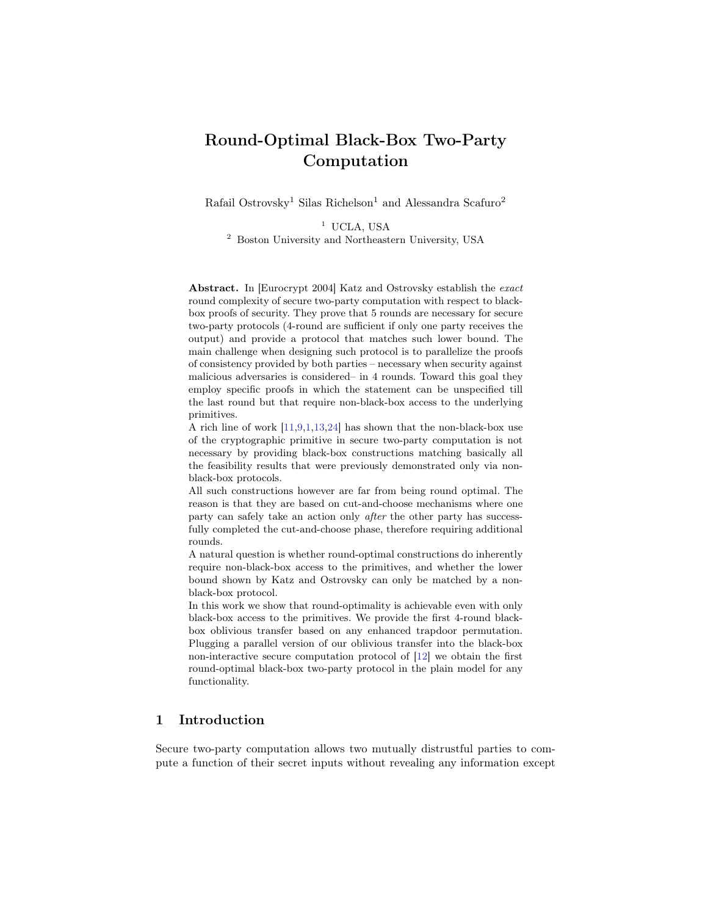# Round-Optimal Black-Box Two-Party Computation

Rafail Ostrovsky<sup>1</sup> Silas Richelson<sup>1</sup> and Alessandra Scafuro<sup>2</sup>

 $1$  UCLA, USA

<sup>2</sup> Boston University and Northeastern University, USA

Abstract. In [Eurocrypt 2004] Katz and Ostrovsky establish the exact round complexity of secure two-party computation with respect to blackbox proofs of security. They prove that 5 rounds are necessary for secure two-party protocols (4-round are sufficient if only one party receives the output) and provide a protocol that matches such lower bound. The main challenge when designing such protocol is to parallelize the proofs of consistency provided by both parties – necessary when security against malicious adversaries is considered– in 4 rounds. Toward this goal they employ specific proofs in which the statement can be unspecified till the last round but that require non-black-box access to the underlying primitives.

A rich line of work [\[11,](#page-18-0)[9](#page-18-1)[,1,](#page-18-2)[13,](#page-19-0)[24\]](#page-19-1) has shown that the non-black-box use of the cryptographic primitive in secure two-party computation is not necessary by providing black-box constructions matching basically all the feasibility results that were previously demonstrated only via nonblack-box protocols.

All such constructions however are far from being round optimal. The reason is that they are based on cut-and-choose mechanisms where one party can safely take an action only after the other party has successfully completed the cut-and-choose phase, therefore requiring additional rounds.

A natural question is whether round-optimal constructions do inherently require non-black-box access to the primitives, and whether the lower bound shown by Katz and Ostrovsky can only be matched by a nonblack-box protocol.

In this work we show that round-optimality is achievable even with only black-box access to the primitives. We provide the first 4-round blackbox oblivious transfer based on any enhanced trapdoor permutation. Plugging a parallel version of our oblivious transfer into the black-box non-interactive secure computation protocol of [\[12\]](#page-18-3) we obtain the first round-optimal black-box two-party protocol in the plain model for any functionality.

### 1 Introduction

Secure two-party computation allows two mutually distrustful parties to compute a function of their secret inputs without revealing any information except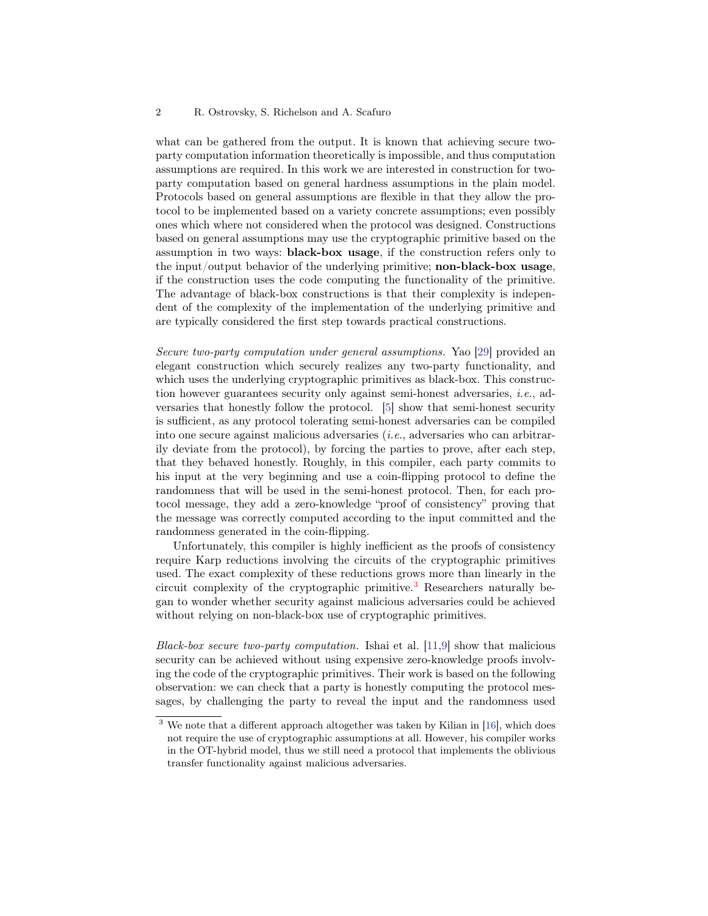what can be gathered from the output. It is known that achieving secure twoparty computation information theoretically is impossible, and thus computation assumptions are required. In this work we are interested in construction for twoparty computation based on general hardness assumptions in the plain model. Protocols based on general assumptions are flexible in that they allow the protocol to be implemented based on a variety concrete assumptions; even possibly ones which where not considered when the protocol was designed. Constructions based on general assumptions may use the cryptographic primitive based on the assumption in two ways: black-box usage, if the construction refers only to the input/output behavior of the underlying primitive; non-black-box usage, if the construction uses the code computing the functionality of the primitive. The advantage of black-box constructions is that their complexity is independent of the complexity of the implementation of the underlying primitive and are typically considered the first step towards practical constructions.

Secure two-party computation under general assumptions. Yao [\[29\]](#page-19-2) provided an elegant construction which securely realizes any two-party functionality, and which uses the underlying cryptographic primitives as black-box. This construction however guarantees security only against semi-honest adversaries, i.e., adversaries that honestly follow the protocol. [\[5\]](#page-18-4) show that semi-honest security is sufficient, as any protocol tolerating semi-honest adversaries can be compiled into one secure against malicious adversaries  $(i.e.,$  adversaries who can arbitrarily deviate from the protocol), by forcing the parties to prove, after each step, that they behaved honestly. Roughly, in this compiler, each party commits to his input at the very beginning and use a coin-flipping protocol to define the randomness that will be used in the semi-honest protocol. Then, for each protocol message, they add a zero-knowledge "proof of consistency" proving that the message was correctly computed according to the input committed and the randomness generated in the coin-flipping.

Unfortunately, this compiler is highly inefficient as the proofs of consistency require Karp reductions involving the circuits of the cryptographic primitives used. The exact complexity of these reductions grows more than linearly in the circuit complexity of the cryptographic primitive.<sup>[3](#page-1-0)</sup> Researchers naturally began to wonder whether security against malicious adversaries could be achieved without relying on non-black-box use of cryptographic primitives.

Black-box secure two-party computation. Ishai et al.  $[11,9]$  $[11,9]$  show that malicious security can be achieved without using expensive zero-knowledge proofs involving the code of the cryptographic primitives. Their work is based on the following observation: we can check that a party is honestly computing the protocol messages, by challenging the party to reveal the input and the randomness used

<span id="page-1-0"></span> $3$  We note that a different approach altogether was taken by Kilian in [\[16\]](#page-19-3), which does not require the use of cryptographic assumptions at all. However, his compiler works in the OT-hybrid model, thus we still need a protocol that implements the oblivious transfer functionality against malicious adversaries.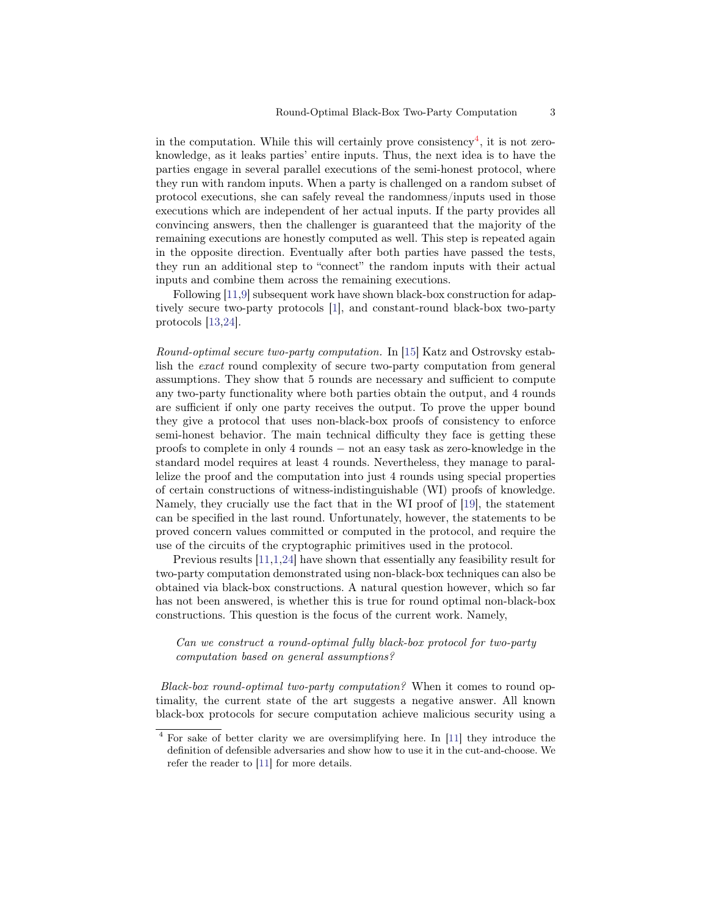in the computation. While this will certainly prove consistency<sup>[4](#page-2-0)</sup>, it is not zeroknowledge, as it leaks parties' entire inputs. Thus, the next idea is to have the parties engage in several parallel executions of the semi-honest protocol, where they run with random inputs. When a party is challenged on a random subset of protocol executions, she can safely reveal the randomness/inputs used in those executions which are independent of her actual inputs. If the party provides all convincing answers, then the challenger is guaranteed that the majority of the remaining executions are honestly computed as well. This step is repeated again in the opposite direction. Eventually after both parties have passed the tests, they run an additional step to "connect" the random inputs with their actual inputs and combine them across the remaining executions.

Following [\[11,](#page-18-0)[9\]](#page-18-1) subsequent work have shown black-box construction for adaptively secure two-party protocols [\[1\]](#page-18-2), and constant-round black-box two-party protocols [\[13](#page-19-0)[,24\]](#page-19-1).

Round-optimal secure two-party computation. In [\[15\]](#page-19-4) Katz and Ostrovsky establish the exact round complexity of secure two-party computation from general assumptions. They show that 5 rounds are necessary and sufficient to compute any two-party functionality where both parties obtain the output, and 4 rounds are sufficient if only one party receives the output. To prove the upper bound they give a protocol that uses non-black-box proofs of consistency to enforce semi-honest behavior. The main technical difficulty they face is getting these proofs to complete in only 4 rounds − not an easy task as zero-knowledge in the standard model requires at least 4 rounds. Nevertheless, they manage to parallelize the proof and the computation into just 4 rounds using special properties of certain constructions of witness-indistinguishable (WI) proofs of knowledge. Namely, they crucially use the fact that in the WI proof of [\[19\]](#page-19-5), the statement can be specified in the last round. Unfortunately, however, the statements to be proved concern values committed or computed in the protocol, and require the use of the circuits of the cryptographic primitives used in the protocol.

Previous results [\[11,](#page-18-0)[1](#page-18-2)[,24\]](#page-19-1) have shown that essentially any feasibility result for two-party computation demonstrated using non-black-box techniques can also be obtained via black-box constructions. A natural question however, which so far has not been answered, is whether this is true for round optimal non-black-box constructions. This question is the focus of the current work. Namely,

Can we construct a round-optimal fully black-box protocol for two-party computation based on general assumptions?

Black-box round-optimal two-party computation? When it comes to round optimality, the current state of the art suggests a negative answer. All known black-box protocols for secure computation achieve malicious security using a

<span id="page-2-0"></span><sup>4</sup> For sake of better clarity we are oversimplifying here. In [\[11\]](#page-18-0) they introduce the definition of defensible adversaries and show how to use it in the cut-and-choose. We refer the reader to [\[11\]](#page-18-0) for more details.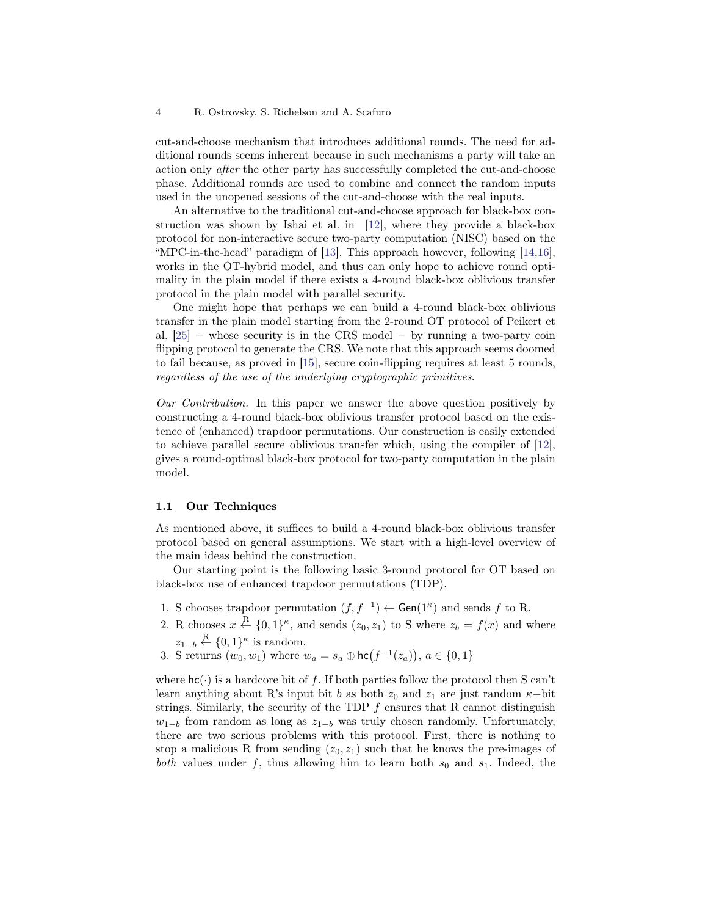cut-and-choose mechanism that introduces additional rounds. The need for additional rounds seems inherent because in such mechanisms a party will take an action only after the other party has successfully completed the cut-and-choose phase. Additional rounds are used to combine and connect the random inputs used in the unopened sessions of the cut-and-choose with the real inputs.

An alternative to the traditional cut-and-choose approach for black-box construction was shown by Ishai et al. in [\[12\]](#page-18-3), where they provide a black-box protocol for non-interactive secure two-party computation (NISC) based on the "MPC-in-the-head" paradigm of [\[13\]](#page-19-0). This approach however, following [\[14,](#page-19-6)[16\]](#page-19-3), works in the OT-hybrid model, and thus can only hope to achieve round optimality in the plain model if there exists a 4-round black-box oblivious transfer protocol in the plain model with parallel security.

One might hope that perhaps we can build a 4-round black-box oblivious transfer in the plain model starting from the 2-round OT protocol of Peikert et al.  $[25]$  – whose security is in the CRS model – by running a two-party coin flipping protocol to generate the CRS. We note that this approach seems doomed to fail because, as proved in [\[15\]](#page-19-4), secure coin-flipping requires at least 5 rounds, regardless of the use of the underlying cryptographic primitives.

Our Contribution. In this paper we answer the above question positively by constructing a 4-round black-box oblivious transfer protocol based on the existence of (enhanced) trapdoor permutations. Our construction is easily extended to achieve parallel secure oblivious transfer which, using the compiler of [\[12\]](#page-18-3), gives a round-optimal black-box protocol for two-party computation in the plain model.

#### <span id="page-3-0"></span>1.1 Our Techniques

As mentioned above, it suffices to build a 4-round black-box oblivious transfer protocol based on general assumptions. We start with a high-level overview of the main ideas behind the construction.

Our starting point is the following basic 3-round protocol for OT based on black-box use of enhanced trapdoor permutations (TDP).

- 1. S chooses trapdoor permutation  $(f, f^{-1}) \leftarrow$  Gen $(1^{\kappa})$  and sends f to R.
- 2. R chooses  $x \stackrel{\text{R}}{\leftarrow} \{0,1\}^{\kappa}$ , and sends  $(z_0, z_1)$  to S where  $z_b = f(x)$  and where  $z_{1-b} \stackrel{\text{R}}{\leftarrow} \{0,1\}^{\kappa}$  is random.
- 3. S returns  $(w_0, w_1)$  where  $w_a = s_a \oplus \text{hc}(f^{-1}(z_a)), a \in \{0, 1\}$

where  $\text{hc}(\cdot)$  is a hardcore bit of f. If both parties follow the protocol then S can't learn anything about R's input bit b as both  $z_0$  and  $z_1$  are just random  $\kappa$ -bit strings. Similarly, the security of the TDP  $f$  ensures that R cannot distinguish  $w_{1-b}$  from random as long as  $z_{1-b}$  was truly chosen randomly. Unfortunately, there are two serious problems with this protocol. First, there is nothing to stop a malicious R from sending  $(z_0, z_1)$  such that he knows the pre-images of both values under f, thus allowing him to learn both  $s_0$  and  $s_1$ . Indeed, the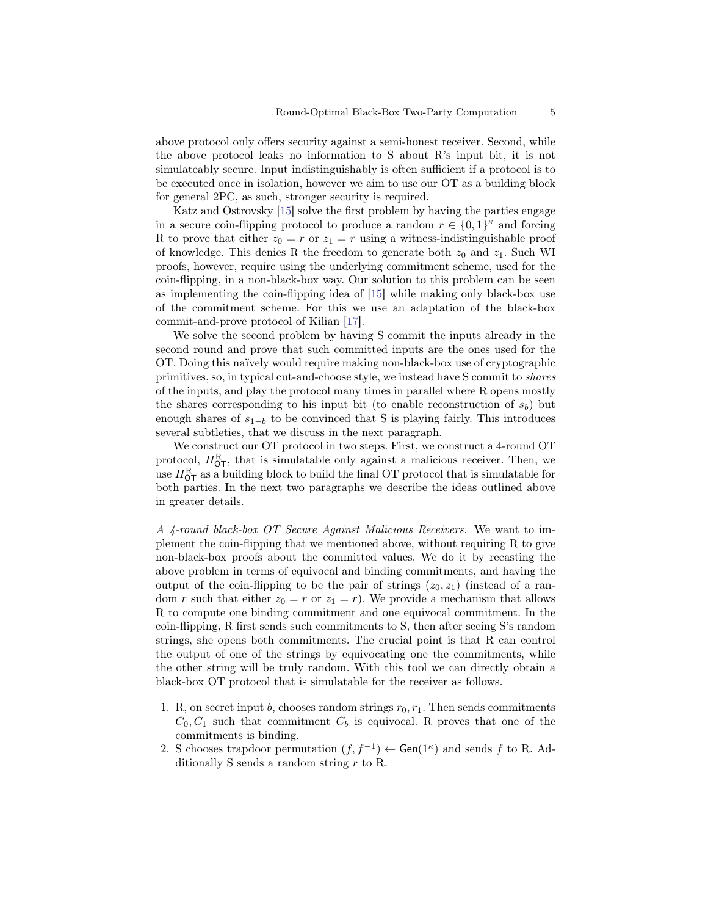above protocol only offers security against a semi-honest receiver. Second, while the above protocol leaks no information to S about R's input bit, it is not simulateably secure. Input indistinguishably is often sufficient if a protocol is to be executed once in isolation, however we aim to use our OT as a building block for general 2PC, as such, stronger security is required.

Katz and Ostrovsky [\[15\]](#page-19-4) solve the first problem by having the parties engage in a secure coin-flipping protocol to produce a random  $r \in \{0,1\}^{\kappa}$  and forcing R to prove that either  $z_0 = r$  or  $z_1 = r$  using a witness-indistinguishable proof of knowledge. This denies R the freedom to generate both  $z_0$  and  $z_1$ . Such WI proofs, however, require using the underlying commitment scheme, used for the coin-flipping, in a non-black-box way. Our solution to this problem can be seen as implementing the coin-flipping idea of [\[15\]](#page-19-4) while making only black-box use of the commitment scheme. For this we use an adaptation of the black-box commit-and-prove protocol of Kilian [\[17\]](#page-19-8).

We solve the second problem by having S commit the inputs already in the second round and prove that such committed inputs are the ones used for the OT. Doing this naïvely would require making non-black-box use of cryptographic primitives, so, in typical cut-and-choose style, we instead have S commit to shares of the inputs, and play the protocol many times in parallel where R opens mostly the shares corresponding to his input bit (to enable reconstruction of  $s<sub>b</sub>$ ) but enough shares of  $s_{1-b}$  to be convinced that S is playing fairly. This introduces several subtleties, that we discuss in the next paragraph.

We construct our OT protocol in two steps. First, we construct a 4-round OT protocol,  $\Pi_{\text{OT}}^R$ , that is simulatable only against a malicious receiver. Then, we use  $\mathbb{H}_{\mathrm{OT}}^{\mathrm{R}}$  as a building block to build the final OT protocol that is simulatable for both parties. In the next two paragraphs we describe the ideas outlined above in greater details.

A 4-round black-box OT Secure Against Malicious Receivers. We want to implement the coin-flipping that we mentioned above, without requiring R to give non-black-box proofs about the committed values. We do it by recasting the above problem in terms of equivocal and binding commitments, and having the output of the coin-flipping to be the pair of strings  $(z_0, z_1)$  (instead of a random r such that either  $z_0 = r$  or  $z_1 = r$ ). We provide a mechanism that allows R to compute one binding commitment and one equivocal commitment. In the coin-flipping, R first sends such commitments to S, then after seeing S's random strings, she opens both commitments. The crucial point is that R can control the output of one of the strings by equivocating one the commitments, while the other string will be truly random. With this tool we can directly obtain a black-box OT protocol that is simulatable for the receiver as follows.

- 1. R, on secret input b, chooses random strings  $r_0, r_1$ . Then sends commitments  $C_0, C_1$  such that commitment  $C_b$  is equivocal. R proves that one of the commitments is binding.
- 2. S chooses trapdoor permutation  $(f, f^{-1}) \leftarrow$  Gen $(1^{\kappa})$  and sends f to R. Additionally S sends a random string r to R.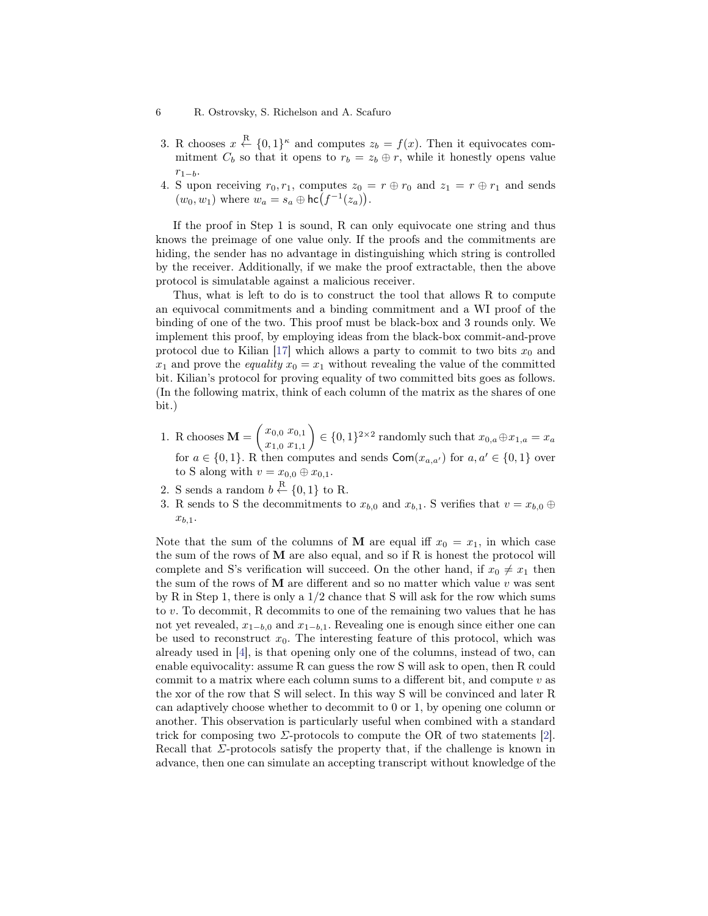- 3. R chooses  $x \stackrel{\text{R}}{\leftarrow} \{0,1\}^{\kappa}$  and computes  $z_b = f(x)$ . Then it equivocates commitment  $C_b$  so that it opens to  $r_b = z_b \oplus r$ , while it honestly opens value  $r_{1-b}$ .
- 4. S upon receiving  $r_0, r_1$ , computes  $z_0 = r \oplus r_0$  and  $z_1 = r \oplus r_1$  and sends  $(w_0, w_1)$  where  $w_a = s_a \oplus \text{hc}(f^{-1}(z_a)).$

If the proof in Step 1 is sound, R can only equivocate one string and thus knows the preimage of one value only. If the proofs and the commitments are hiding, the sender has no advantage in distinguishing which string is controlled by the receiver. Additionally, if we make the proof extractable, then the above protocol is simulatable against a malicious receiver.

Thus, what is left to do is to construct the tool that allows R to compute an equivocal commitments and a binding commitment and a WI proof of the binding of one of the two. This proof must be black-box and 3 rounds only. We implement this proof, by employing ideas from the black-box commit-and-prove protocol due to Kilian [\[17\]](#page-19-8) which allows a party to commit to two bits  $x_0$  and  $x_1$  and prove the *equality*  $x_0 = x_1$  without revealing the value of the committed bit. Kilian's protocol for proving equality of two committed bits goes as follows. (In the following matrix, think of each column of the matrix as the shares of one bit.)

- 1. R chooses  $\mathbf{M} = \begin{pmatrix} x_{0,0} & x_{0,1} \\ x_{0,0} & x_{0,1} \\ x_{0,0} & x_{0,2} \end{pmatrix}$  $x_{1,0} x_{1,1}$  $\Big) \in \{0,1\}^{2 \times 2}$  randomly such that  $x_{0,a} \oplus x_{1,a} = x_a$ for  $a \in \{0, 1\}$ . R then computes and sends  $\mathsf{Com}(x_{a,a'})$  for  $a, a' \in \{0, 1\}$  over to S along with  $v = x_{0,0} \oplus x_{0,1}$ .
- 2. S sends a random  $b \stackrel{\text{R}}{\leftarrow} \{0,1\}$  to R.
- 3. R sends to S the decommitments to  $x_{b,0}$  and  $x_{b,1}$ . S verifies that  $v = x_{b,0} \oplus ...$  $x_{b,1}$ .

Note that the sum of the columns of M are equal iff  $x_0 = x_1$ , in which case the sum of the rows of M are also equal, and so if R is honest the protocol will complete and S's verification will succeed. On the other hand, if  $x_0 \neq x_1$  then the sum of the rows of  **are different and so no matter which value v was sent** by R in Step 1, there is only a 1/2 chance that S will ask for the row which sums to v. To decommit, R decommits to one of the remaining two values that he has not yet revealed,  $x_{1-b,0}$  and  $x_{1-b,1}$ . Revealing one is enough since either one can be used to reconstruct  $x_0$ . The interesting feature of this protocol, which was already used in [\[4\]](#page-18-5), is that opening only one of the columns, instead of two, can enable equivocality: assume R can guess the row S will ask to open, then R could commit to a matrix where each column sums to a different bit, and compute  $v$  as the xor of the row that S will select. In this way S will be convinced and later R can adaptively choose whether to decommit to 0 or 1, by opening one column or another. This observation is particularly useful when combined with a standard trick for composing two  $\Sigma$ -protocols to compute the OR of two statements [\[2\]](#page-18-6). Recall that  $\Sigma$ -protocols satisfy the property that, if the challenge is known in advance, then one can simulate an accepting transcript without knowledge of the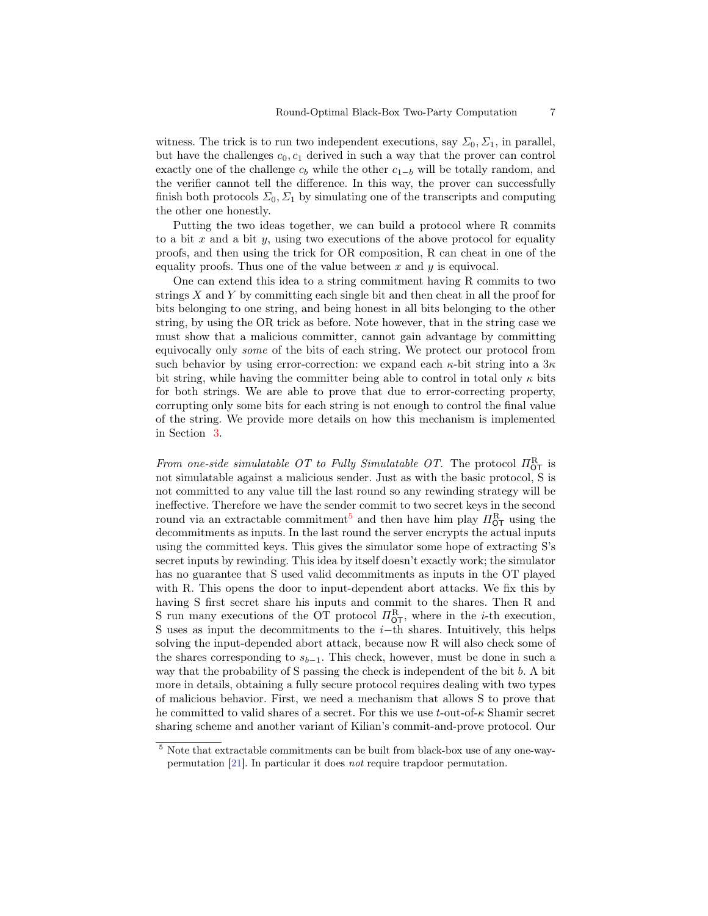witness. The trick is to run two independent executions, say  $\Sigma_0$ ,  $\Sigma_1$ , in parallel, but have the challenges  $c_0, c_1$  derived in such a way that the prover can control exactly one of the challenge  $c<sub>b</sub>$  while the other  $c<sub>1−b</sub>$  will be totally random, and the verifier cannot tell the difference. In this way, the prover can successfully finish both protocols  $\Sigma_0$ ,  $\Sigma_1$  by simulating one of the transcripts and computing the other one honestly.

Putting the two ideas together, we can build a protocol where R commits to a bit x and a bit y, using two executions of the above protocol for equality proofs, and then using the trick for OR composition, R can cheat in one of the equality proofs. Thus one of the value between  $x$  and  $y$  is equivocal.

One can extend this idea to a string commitment having R commits to two strings  $X$  and  $Y$  by committing each single bit and then cheat in all the proof for bits belonging to one string, and being honest in all bits belonging to the other string, by using the OR trick as before. Note however, that in the string case we must show that a malicious committer, cannot gain advantage by committing equivocally only some of the bits of each string. We protect our protocol from such behavior by using error-correction: we expand each  $\kappa$ -bit string into a  $3\kappa$ bit string, while having the committer being able to control in total only  $\kappa$  bits for both strings. We are able to prove that due to error-correcting property, corrupting only some bits for each string is not enough to control the final value of the string. We provide more details on how this mechanism is implemented in Section [3.](#page-10-0)

From one-side simulatable OT to Fully Simulatable OT. The protocol  $\Pi_{\text{OT}}^{\text{R}}$  is not simulatable against a malicious sender. Just as with the basic protocol, S is not committed to any value till the last round so any rewinding strategy will be ineffective. Therefore we have the sender commit to two secret keys in the second round via an extractable commitment<sup>[5](#page-6-0)</sup> and then have him play  $\varPi_{\mathsf{OT}}^{\mathsf{R}}$  using the decommitments as inputs. In the last round the server encrypts the actual inputs using the committed keys. This gives the simulator some hope of extracting S's secret inputs by rewinding. This idea by itself doesn't exactly work; the simulator has no guarantee that S used valid decommitments as inputs in the OT played with R. This opens the door to input-dependent abort attacks. We fix this by having S first secret share his inputs and commit to the shares. Then R and S run many executions of the OT protocol  $\Pi_{\text{OT}}^R$ , where in the *i*-th execution, S uses as input the decommitments to the  $i$ -th shares. Intuitively, this helps solving the input-depended abort attack, because now R will also check some of the shares corresponding to  $s_{b-1}$ . This check, however, must be done in such a way that the probability of S passing the check is independent of the bit  $b$ . A bit more in details, obtaining a fully secure protocol requires dealing with two types of malicious behavior. First, we need a mechanism that allows S to prove that he committed to valid shares of a secret. For this we use  $t$ -out-of- $\kappa$  Shamir secret sharing scheme and another variant of Kilian's commit-and-prove protocol. Our

<span id="page-6-0"></span> $5$  Note that extractable commitments can be built from black-box use of any one-waypermutation [\[21\]](#page-19-9). In particular it does not require trapdoor permutation.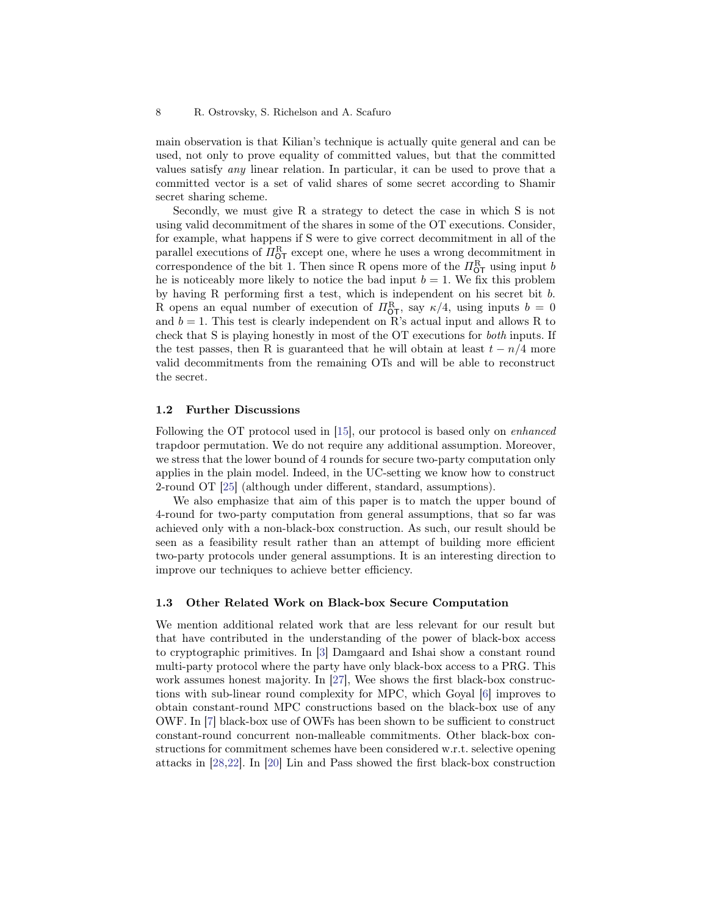main observation is that Kilian's technique is actually quite general and can be used, not only to prove equality of committed values, but that the committed values satisfy any linear relation. In particular, it can be used to prove that a committed vector is a set of valid shares of some secret according to Shamir secret sharing scheme.

Secondly, we must give R a strategy to detect the case in which S is not using valid decommitment of the shares in some of the OT executions. Consider, for example, what happens if S were to give correct decommitment in all of the parallel executions of  $\pi_{\text{OT}}^R$  except one, where he uses a wrong decommitment in correspondence of the bit 1. Then since R opens more of the  $\pi_{\text{OT}}^R$  using input b he is noticeably more likely to notice the bad input  $b = 1$ . We fix this problem by having R performing first a test, which is independent on his secret bit b. R opens an equal number of execution of  $\Pi_{\text{OT}}^R$ , say  $\kappa/4$ , using inputs  $b = 0$ and  $b = 1$ . This test is clearly independent on R's actual input and allows R to check that S is playing honestly in most of the OT executions for both inputs. If the test passes, then R is guaranteed that he will obtain at least  $t - n/4$  more valid decommitments from the remaining OTs and will be able to reconstruct the secret.

#### 1.2 Further Discussions

Following the OT protocol used in [\[15\]](#page-19-4), our protocol is based only on enhanced trapdoor permutation. We do not require any additional assumption. Moreover, we stress that the lower bound of 4 rounds for secure two-party computation only applies in the plain model. Indeed, in the UC-setting we know how to construct 2-round OT [\[25\]](#page-19-7) (although under different, standard, assumptions).

We also emphasize that aim of this paper is to match the upper bound of 4-round for two-party computation from general assumptions, that so far was achieved only with a non-black-box construction. As such, our result should be seen as a feasibility result rather than an attempt of building more efficient two-party protocols under general assumptions. It is an interesting direction to improve our techniques to achieve better efficiency.

#### 1.3 Other Related Work on Black-box Secure Computation

We mention additional related work that are less relevant for our result but that have contributed in the understanding of the power of black-box access to cryptographic primitives. In [\[3\]](#page-18-7) Damgaard and Ishai show a constant round multi-party protocol where the party have only black-box access to a PRG. This work assumes honest majority. In [\[27\]](#page-19-10), Wee shows the first black-box constructions with sub-linear round complexity for MPC, which Goyal [\[6\]](#page-18-8) improves to obtain constant-round MPC constructions based on the black-box use of any OWF. In [\[7\]](#page-18-9) black-box use of OWFs has been shown to be sufficient to construct constant-round concurrent non-malleable commitments. Other black-box constructions for commitment schemes have been considered w.r.t. selective opening attacks in [\[28,](#page-19-11)[22\]](#page-19-12). In [\[20\]](#page-19-13) Lin and Pass showed the first black-box construction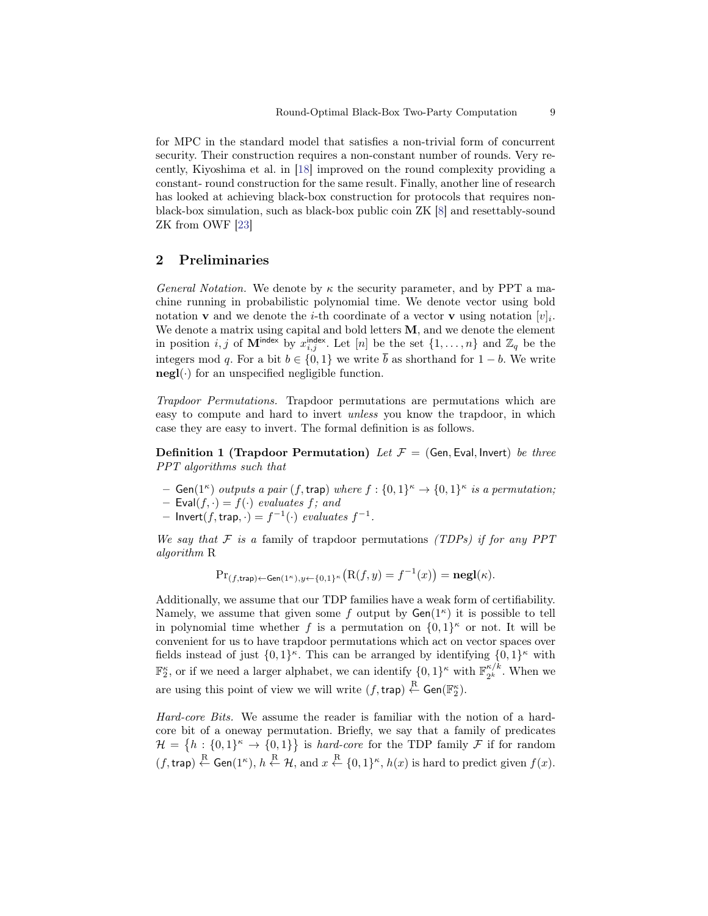for MPC in the standard model that satisfies a non-trivial form of concurrent security. Their construction requires a non-constant number of rounds. Very recently, Kiyoshima et al. in [\[18\]](#page-19-14) improved on the round complexity providing a constant- round construction for the same result. Finally, another line of research has looked at achieving black-box construction for protocols that requires nonblack-box simulation, such as black-box public coin ZK [\[8\]](#page-18-10) and resettably-sound ZK from OWF [\[23\]](#page-19-15)

### 2 Preliminaries

*General Notation.* We denote by  $\kappa$  the security parameter, and by PPT a machine running in probabilistic polynomial time. We denote vector using bold notation **v** and we denote the *i*-th coordinate of a vector **v** using notation  $[v]_i$ . We denote a matrix using capital and bold letters **M**, and we denote the element in position *i*, *j* of  $\mathbf{M}^{\text{index}}$  by  $x_{i,j}^{\text{index}}$ . Let [n] be the set  $\{1,\ldots,n\}$  and  $\mathbb{Z}_q$  be the integers mod q. For a bit  $b \in \{0, 1\}$  we write  $\overline{b}$  as shorthand for  $1 - b$ . We write  $\text{negl}(\cdot)$  for an unspecified negligible function.

Trapdoor Permutations. Trapdoor permutations are permutations which are easy to compute and hard to invert unless you know the trapdoor, in which case they are easy to invert. The formal definition is as follows.

**Definition 1 (Trapdoor Permutation)** Let  $\mathcal{F} =$  (Gen, Eval, Invert) be three PPT algorithms such that

- $-$  Gen(1<sup> $\kappa$ </sup>) outputs a pair (f, trap) where  $f: \{0,1\}^{\kappa} \to \{0,1\}^{\kappa}$  is a permutation;
- Eval $(f, \cdot) = f(\cdot)$  evaluates f; and
- Invert $(f, \text{trap}, \cdot) = f^{-1}(\cdot)$  evaluates  $f^{-1}$ .

We say that  $F$  is a family of trapdoor permutations (TDPs) if for any PPT algorithm R

$$
\mathrm{Pr}_{(f, \mathsf{trap}) \leftarrow \mathsf{Gen}(1^\kappa), y \leftarrow \{0,1\}^\kappa} \big(\mathbf{R}(f, y) = f^{-1}(x)\big) = \mathbf{negl}(\kappa).
$$

Additionally, we assume that our TDP families have a weak form of certifiability. Namely, we assume that given some f output by  $Gen(1^{\kappa})$  it is possible to tell in polynomial time whether f is a permutation on  $\{0,1\}^{\kappa}$  or not. It will be convenient for us to have trapdoor permutations which act on vector spaces over fields instead of just  $\{0,1\}^{\kappa}$ . This can be arranged by identifying  $\{0,1\}^{\kappa}$  with  $\mathbb{F}_2^{\kappa}$ , or if we need a larger alphabet, we can identify  $\{0,1\}^{\kappa}$  with  $\mathbb{F}_{2^k}^{\kappa/k}$  $\frac{\kappa}{2^k}$ . When we are using this point of view we will write  $(f, \mathsf{trap}) \overset{\text{R}}{\leftarrow} \mathsf{Gen}(\mathbb{F}_2^{\kappa})$ .

Hard-core Bits. We assume the reader is familiar with the notion of a hardcore bit of a oneway permutation. Briefly, we say that a family of predicates  $\mathcal{H} = \{h : \{0,1\}^{\kappa} \to \{0,1\}\}\$ is hard-core for the TDP family F if for random  $(f, \text{trap}) \stackrel{\text{R}}{\leftarrow} \text{Gen}(1^{\kappa}), h \stackrel{\text{R}}{\leftarrow} \mathcal{H}, \text{and } x \stackrel{\text{R}}{\leftarrow} \{0, 1\}^{\kappa}, h(x) \text{ is hard to predict given } f(x).$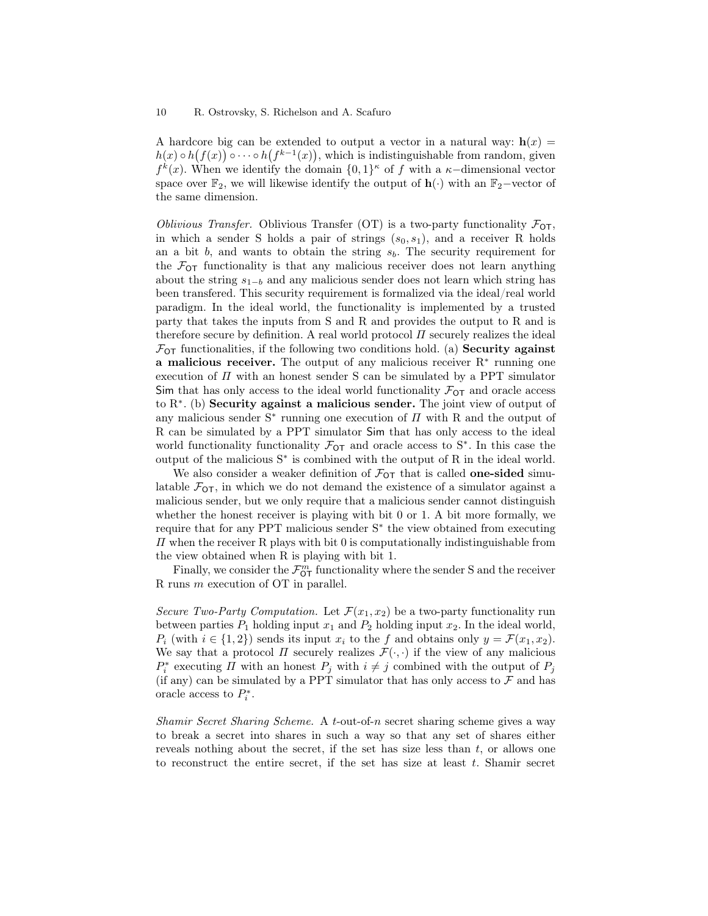A hardcore big can be extended to output a vector in a natural way:  $h(x) =$  $h(x) \circ h(f(x)) \circ \cdots \circ h(f^{k-1}(x))$ , which is indistinguishable from random, given  $f^k(x)$ . When we identify the domain  $\{0,1\}^{\kappa}$  of f with a  $\kappa$ -dimensional vector space over  $\mathbb{F}_2$ , we will likewise identify the output of  $h(\cdot)$  with an  $\mathbb{F}_2$ −vector of the same dimension.

Oblivious Transfer. Oblivious Transfer (OT) is a two-party functionality  $\mathcal{F}_{OT}$ , in which a sender S holds a pair of strings  $(s_0, s_1)$ , and a receiver R holds an a bit b, and wants to obtain the string  $s<sub>b</sub>$ . The security requirement for the  $\mathcal{F}_{OT}$  functionality is that any malicious receiver does not learn anything about the string  $s_{1-b}$  and any malicious sender does not learn which string has been transfered. This security requirement is formalized via the ideal/real world paradigm. In the ideal world, the functionality is implemented by a trusted party that takes the inputs from S and R and provides the output to R and is therefore secure by definition. A real world protocol  $\Pi$  securely realizes the ideal  $\mathcal{F}_{OT}$  functionalities, if the following two conditions hold. (a) **Security against** a malicious receiver. The output of any malicious receiver  $R^*$  running one execution of  $\Pi$  with an honest sender S can be simulated by a PPT simulator Sim that has only access to the ideal world functionality  $\mathcal{F}_{\text{OT}}$  and oracle access to R<sup>∗</sup>. (b) Security against a malicious sender. The joint view of output of any malicious sender  $S^*$  running one execution of  $\Pi$  with R and the output of R can be simulated by a PPT simulator Sim that has only access to the ideal world functionality functionality  $\mathcal{F}_{OT}$  and oracle access to  $S^*$ . In this case the output of the malicious  $S^*$  is combined with the output of R in the ideal world.

We also consider a weaker definition of  $\mathcal{F}_{\text{OT}}$  that is called **one-sided** simulatable  $\mathcal{F}_{\text{OT}}$ , in which we do not demand the existence of a simulator against a malicious sender, but we only require that a malicious sender cannot distinguish whether the honest receiver is playing with bit 0 or 1. A bit more formally, we require that for any PPT malicious sender S<sup>∗</sup> the view obtained from executing  $\Pi$  when the receiver R plays with bit 0 is computationally indistinguishable from the view obtained when R is playing with bit 1.

Finally, we consider the  $\mathcal{F}_{\text{OT}}^m$  functionality where the sender S and the receiver R runs m execution of OT in parallel.

Secure Two-Party Computation. Let  $\mathcal{F}(x_1, x_2)$  be a two-party functionality run between parties  $P_1$  holding input  $x_1$  and  $P_2$  holding input  $x_2$ . In the ideal world,  $P_i$  (with  $i \in \{1,2\}$ ) sends its input  $x_i$  to the f and obtains only  $y = \mathcal{F}(x_1, x_2)$ . We say that a protocol  $\Pi$  securely realizes  $\mathcal{F}(\cdot,\cdot)$  if the view of any malicious  $P_i^*$  executing  $\Pi$  with an honest  $P_j$  with  $i \neq j$  combined with the output of  $P_j$ (if any) can be simulated by a PPT simulator that has only access to  $\mathcal F$  and has oracle access to  $P_i^*$ .

Shamir Secret Sharing Scheme. A t-out-of-n secret sharing scheme gives a way to break a secret into shares in such a way so that any set of shares either reveals nothing about the secret, if the set has size less than  $t$ , or allows one to reconstruct the entire secret, if the set has size at least  $t$ . Shamir secret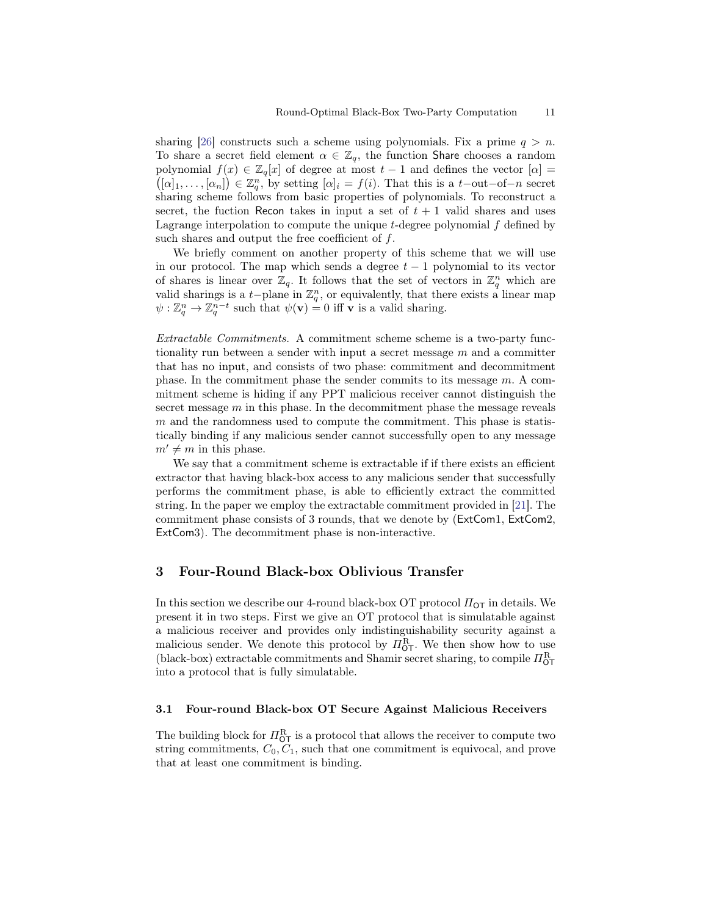sharing [\[26\]](#page-19-16) constructs such a scheme using polynomials. Fix a prime  $q > n$ . To share a secret field element  $\alpha \in \mathbb{Z}_q$ , the function **Share** chooses a random polynomial  $f(x) \in \mathbb{Z}_q[x]$  of degree at most  $t-1$  and defines the vector  $[\alpha] =$  $((\alpha)_1,\ldots,\alpha_n])\in \mathbb{Z}_q^n$ , by setting  $[\alpha]_i = f(i)$ . That this is a t-out-of-n secret sharing scheme follows from basic properties of polynomials. To reconstruct a secret, the fuction Recon takes in input a set of  $t + 1$  valid shares and uses Lagrange interpolation to compute the unique  $t$ -degree polynomial  $f$  defined by such shares and output the free coefficient of  $f$ .

We briefly comment on another property of this scheme that we will use in our protocol. The map which sends a degree  $t-1$  polynomial to its vector of shares is linear over  $\mathbb{Z}_q$ . It follows that the set of vectors in  $\mathbb{Z}_q^n$  which are valid sharings is a t-plane in  $\mathbb{Z}_q^n$ , or equivalently, that there exists a linear map  $\psi : \mathbb{Z}_q^n \to \mathbb{Z}_q^{n-t}$  such that  $\psi(\mathbf{v}) = 0$  iff **v** is a valid sharing.

Extractable Commitments. A commitment scheme scheme is a two-party functionality run between a sender with input a secret message  $m$  and a committer that has no input, and consists of two phase: commitment and decommitment phase. In the commitment phase the sender commits to its message  $m$ . A commitment scheme is hiding if any PPT malicious receiver cannot distinguish the secret message  $m$  in this phase. In the decommitment phase the message reveals m and the randomness used to compute the commitment. This phase is statistically binding if any malicious sender cannot successfully open to any message  $m' \neq m$  in this phase.

We say that a commitment scheme is extractable if if there exists an efficient extractor that having black-box access to any malicious sender that successfully performs the commitment phase, is able to efficiently extract the committed string. In the paper we employ the extractable commitment provided in [\[21\]](#page-19-9). The commitment phase consists of 3 rounds, that we denote by (ExtCom1, ExtCom2, ExtCom3). The decommitment phase is non-interactive.

### <span id="page-10-0"></span>3 Four-Round Black-box Oblivious Transfer

In this section we describe our 4-round black-box OT protocol  $\Pi_{\text{OT}}$  in details. We present it in two steps. First we give an OT protocol that is simulatable against a malicious receiver and provides only indistinguishability security against a malicious sender. We denote this protocol by  $\mathbb{H}_{\mathsf{OT}}^R$ . We then show how to use (black-box) extractable commitments and Shamir secret sharing, to compile  $\Pi^\mathrm{R}_\mathrm{OT}$ into a protocol that is fully simulatable.

### 3.1 Four-round Black-box OT Secure Against Malicious Receivers

The building block for  $\mathbb{H}_{\text{OT}}^R$  is a protocol that allows the receiver to compute two string commitments,  $C_0, C_1$ , such that one commitment is equivocal, and prove that at least one commitment is binding.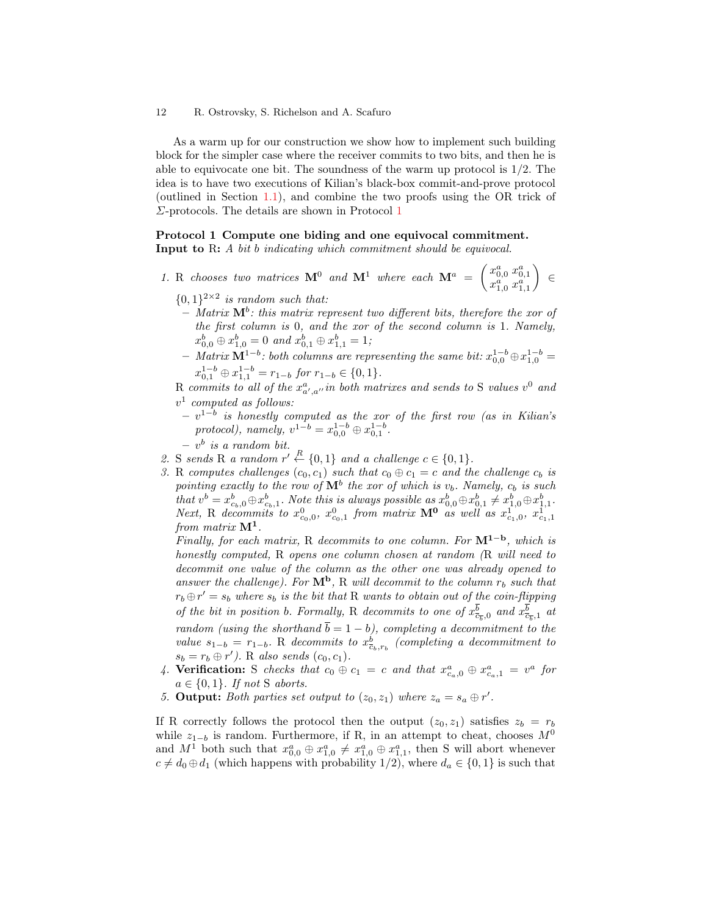As a warm up for our construction we show how to implement such building block for the simpler case where the receiver commits to two bits, and then he is able to equivocate one bit. The soundness of the warm up protocol is 1/2. The idea is to have two executions of Kilian's black-box commit-and-prove protocol (outlined in Section [1.1\)](#page-3-0), and combine the two proofs using the OR trick of Σ-protocols. The details are shown in Protocol [1](#page-11-0)

### <span id="page-11-0"></span>Protocol 1 Compute one biding and one equivocal commitment.

Input to R: A bit b indicating which commitment should be equivocal.

- 1. R chooses two matrices  $\mathbf{M}^0$  and  $\mathbf{M}^1$  where each  $\mathbf{M}^a = \begin{pmatrix} x_{0,0}^a & x_{0,1}^a \\ x_{1,0}^a & x_{1,1}^a \end{pmatrix}$  ∈
	- $\{0,1\}^{2\times 2}$  is random such that:
	- $-$  Matrix  $\mathbf{M}^{b}$ : this matrix represent two different bits, therefore the xor of the first column is 0, and the xor of the second column is 1. Namely,  $x_{0,0}^b \oplus x_{1,0}^b = 0$  and  $x_{0,1}^b \oplus x_{1,1}^b = 1$ ;
	- $-$  Matrix  $\mathbf{M}^{1-b}$ : both columns are representing the same bit:  $x_{0,0}^{1-b} \oplus x_{1,0}^{1-b} =$  $x_{0,1}^{1-b} \oplus x_{1,1}^{1-b} = r_{1-b}$  for  $r_{1-b} \in \{0,1\}.$

R commits to all of the  $x_{a',a''}^a$  in both matrixes and sends to S values  $v^0$  and  $v<sup>1</sup>$  computed as follows:

- $v^{1-b}$  is honestly computed as the xor of the first row (as in Kilian's protocol), namely,  $v^{1-b} = x_{0,0}^{1-b} \oplus x_{0,1}^{1-b}$ .
- $v^b$  is a random bit.
- 2. S sends R a random  $r' \stackrel{R}{\leftarrow} \{0,1\}$  and a challenge  $c \in \{0,1\}$ .
- 3. R computes challenges  $(c_0, c_1)$  such that  $c_0 \oplus c_1 = c$  and the challenge  $c_b$  is pointing exactly to the row of  $\mathbf{M}^b$  the xor of which is  $v_b$ . Namely,  $c_b$  is such that  $v^{b} = x_{c_{b},0}^{b} \oplus x_{c_{b},1}^{b}$ . Note this is always possible as  $x_{0,0}^{b} \oplus x_{0,1}^{b} \neq x_{1,0}^{b} \oplus x_{1,1}^{b}$ . Next, R decommits to  $x_{c_0,0}^0$ ,  $x_{c_0,1}^0$  from matrix  $\mathbf{M}^0$  as well as  $x_{c_1,0}^1$ ,  $x_{c_1,1}^1$ from matrix  $\mathbf{M}^1$ .

Finally, for each matrix, R decommits to one column. For  $M^{1-b}$ , which is honestly computed, R opens one column chosen at random (R will need to decommit one value of the column as the other one was already opened to answer the challenge). For  $M^b$ , R will decommit to the column  $r_b$  such that  $r_b \oplus r' = s_b$  where  $s_b$  is the bit that R wants to obtain out of the coin-flipping of the bit in position b. Formally, R decommits to one of  $x_{\overline{c}_5,0}^b$  and  $x_{\overline{c}_5,1}^b$  at random (using the shorthand  $\bar{b} = 1 - b$ ), completing a decommitment to the value  $s_{1-b} = r_{1-b}$ . R decommits to  $x_{\overline{c}_b,r_b}^b$  (completing a decommitment to  $s_b = r_b \oplus r'$ ). R also sends  $(c_0, c_1)$ .

- 4. Verification: S checks that  $c_0 \oplus c_1 = c$  and that  $x_{c_a,0}^a \oplus x_{c_a,1}^a = v^a$  for  $a \in \{0, 1\}$ . If not S aborts.
- 5. Output: Both parties set output to  $(z_0, z_1)$  where  $z_a = s_a \oplus r'$ .

If R correctly follows the protocol then the output  $(z_0, z_1)$  satisfies  $z_b = r_b$ while  $z_{1-b}$  is random. Furthermore, if R, in an attempt to cheat, chooses  $M^0$ and  $M^1$  both such that  $x_{0,0}^a \oplus x_{1,0}^a \neq x_{1,0}^a \oplus x_{1,1}^a$ , then S will abort whenever  $c \neq d_0 \oplus d_1$  (which happens with probability 1/2), where  $d_a \in \{0,1\}$  is such that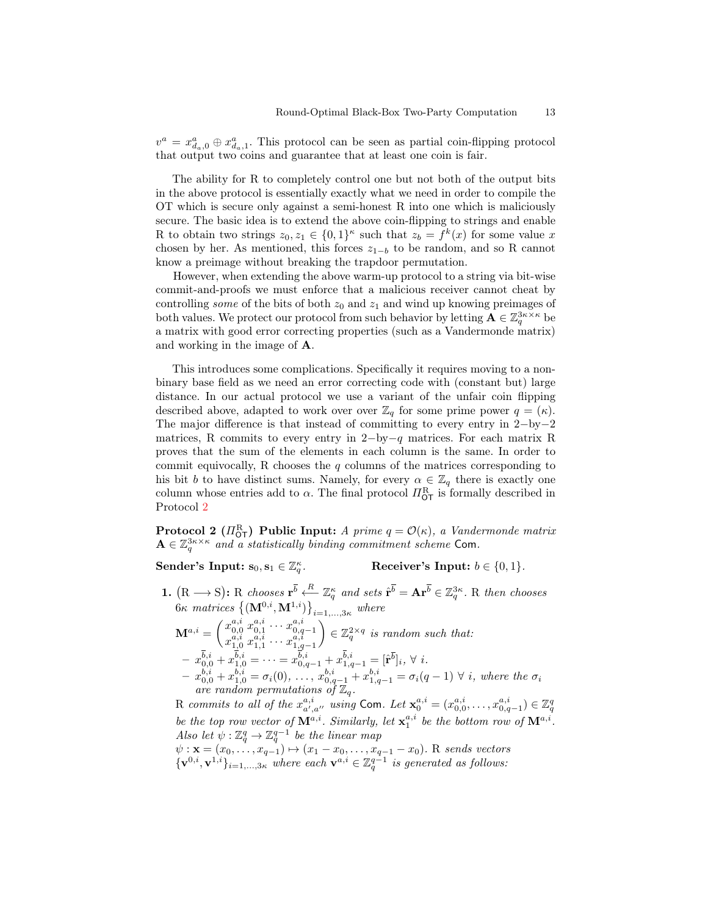$v^a = x^a_{d_a,0} \oplus x^a_{d_a,1}$ . This protocol can be seen as partial coin-flipping protocol that output two coins and guarantee that at least one coin is fair.

The ability for R to completely control one but not both of the output bits in the above protocol is essentially exactly what we need in order to compile the OT which is secure only against a semi-honest R into one which is maliciously secure. The basic idea is to extend the above coin-flipping to strings and enable R to obtain two strings  $z_0, z_1 \in \{0,1\}^{\kappa}$  such that  $z_b = f^k(x)$  for some value x chosen by her. As mentioned, this forces  $z_{1-b}$  to be random, and so R cannot know a preimage without breaking the trapdoor permutation.

However, when extending the above warm-up protocol to a string via bit-wise commit-and-proofs we must enforce that a malicious receiver cannot cheat by controlling some of the bits of both  $z_0$  and  $z_1$  and wind up knowing preimages of both values. We protect our protocol from such behavior by letting  $\mathbf{A} \in \mathbb{Z}_q^{3\kappa \times \kappa}$  be a matrix with good error correcting properties (such as a Vandermonde matrix) and working in the image of A.

This introduces some complications. Specifically it requires moving to a nonbinary base field as we need an error correcting code with (constant but) large distance. In our actual protocol we use a variant of the unfair coin flipping described above, adapted to work over over  $\mathbb{Z}_q$  for some prime power  $q = (\kappa)$ . The major difference is that instead of committing to every entry in 2−by−2 matrices, R commits to every entry in 2−by−q matrices. For each matrix R proves that the sum of the elements in each column is the same. In order to commit equivocally, R chooses the  $q$  columns of the matrices corresponding to his bit b to have distinct sums. Namely, for every  $\alpha \in \mathbb{Z}_q$  there is exactly one column whose entries add to  $\alpha$ . The final protocol  $\Pi_{\text{OT}}^{\text{R}}$  is formally described in Protocol [2](#page-12-0)

<span id="page-12-0"></span>**Protocol 2** ( $\Pi_{\text{OT}}^{\text{R}}$ ) **Public Input:** A prime  $q = \mathcal{O}(\kappa)$ , a Vandermonde matrix  $\mathbf{A} \in \mathbb{Z}_q^{3\kappa \times \kappa}$  and a statistically binding commitment scheme Com.

 $\textbf{Sender's Input:}\ \mathbf{s}_0, \mathbf{s}_1 \in \mathbb{Z}_q^{\kappa}$ 

### Receiver's Input:  $b \in \{0, 1\}.$

**1.**  $(R \rightarrow S)$ : R chooses  $\mathbf{r}^{\overline{b}} \leftarrow R \mathbb{Z}_q^{\kappa}$  and sets  $\hat{\mathbf{r}}^{\overline{b}} = \mathbf{Ar}^{\overline{b}} \in \mathbb{Z}_q^{3\kappa}$ . R then chooses  $6\kappa$  matrices  $\left\{ (\mathbf{M}^{0,i},\mathbf{M}^{1,i})\right\} _{i=1,...,3\kappa}$  where

 $\mathbf{M}^{a,i} = \left(\begin{smallmatrix} x_{0,0}^{a,i} & x_{0,1}^{a,i} & \cdots & x_{0,q-1}^{a,i}\ x_{0,i}^{a,i} & \frac{a,i}{a,i} & \frac{a,i}{a,i} \end{smallmatrix}\right)$  $x_{1,0}^{a,i} x_{1,1}^{a,i} \cdots x_{1,q-1}^{a,i}$  $\Big) \in \mathbb{Z}_q^{2 \times q}$  is random such that:  $-x_{0,0}^{b,i}+x_{1,0}^{b,i}=\cdots=x_{0,q-1}^{b,i}+x_{1,q-1}^{b,i}=[\hat{\mathbf{r}}^{\overline{b}}]_i, \forall i.$  $v_0^{\sigma} - x_{0,0}^{\sigma} + x_{1,0}^{\sigma} = \sigma_i(0), \ldots, x_{0,q-1}^{\sigma,i} + x_{1,q-1}^{\sigma,i} = \sigma_i(q-1) \ \forall \ i, \ where \ the \ \sigma_i$ are random permutations of  $\mathbb{Z}_q$ .

R commits to all of the  $x_{a',a''}^{a,i}$  using Com. Let  $x_0^{a,i} = (x_{0,0}^{a,i}, \ldots, x_{0,q-1}^{a,i}) \in \mathbb{Z}_q^q$ be the top row vector of  $\mathbf{M}^{a,i}$ . Similarly, let  $\mathbf{x}_1^{a,i}$  be the bottom row of  $\mathbf{M}^{a,i}$ . Also let  $\psi : \mathbb{Z}_q^q \to \mathbb{Z}_q^{q-1}$  be the linear map  $\psi: \mathbf{x} = (x_0, \ldots, x_{q-1}) \mapsto (x_1 - x_0, \ldots, x_{q-1} - x_0).$  R sends vectors

 $\{v^{0,i}, v^{1,i}\}_{i=1,\ldots,3\kappa}$  where each  $v^{a,i} \in \mathbb{Z}_q^{q-1}$  is generated as follows: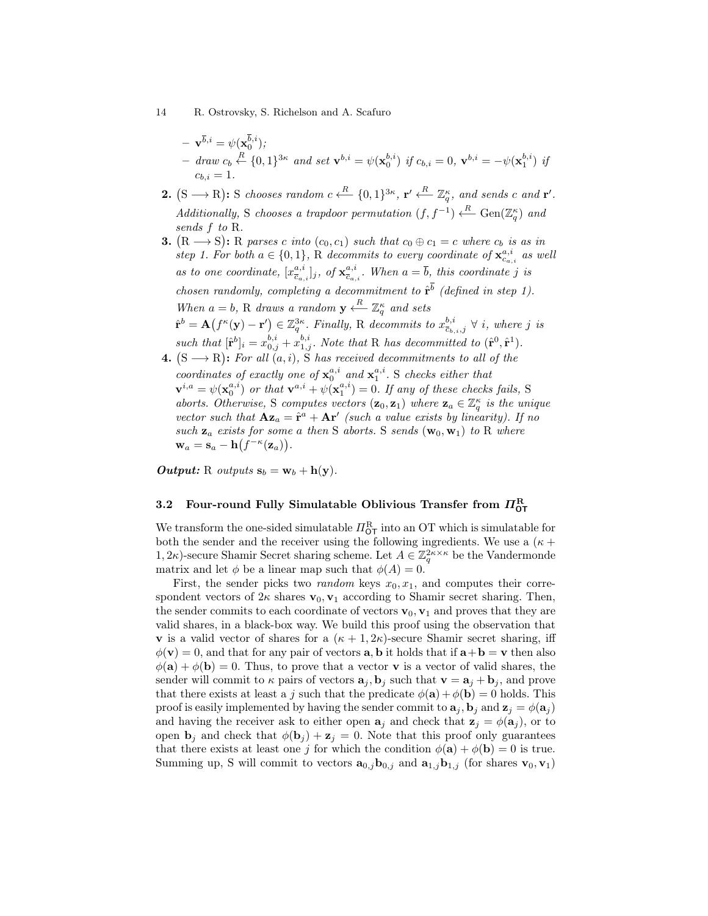$$
- \mathbf{v}^{\bar{b},i} = \psi(\mathbf{x}_0^{\bar{b},i});
$$
  
- *draw c<sub>b</sub>*  $\stackrel{R}{\leftarrow}$  {0,1}<sup>3<sup>k</sup></sup> *and set*  $\mathbf{v}^{b,i} = \psi(\mathbf{x}_0^{b,i})$  *if c<sub>b,i</sub>* = 0,  $\mathbf{v}^{b,i} = -\psi(\mathbf{x}_1^{b,i})$  *if c<sub>b,i</sub>* = 1.

- **2.** (S  $\longrightarrow$  R): S chooses random  $c \stackrel{R}{\longleftarrow} \{0,1\}^{3\kappa}$ ,  $\mathbf{r}' \stackrel{R}{\longleftarrow} \mathbb{Z}_q^{\kappa}$ , and sends c and  $\mathbf{r}'$ . Additionally, S chooses a trapdoor permutation  $(f, f^{-1}) \stackrel{R}{\longleftarrow} \text{Gen}(\mathbb{Z}_q^{\kappa})$  and sends f to R.
- **3.**  $(R \rightarrow S)$ : R parses c into  $(c_0, c_1)$  such that  $c_0 \oplus c_1 = c$  where  $c_b$  is as in step 1. For both  $a \in \{0,1\}$ , R decommits to every coordinate of  $\mathbf{x}_{c_{a,i}}^{a,i}$  as well as to one coordinate,  $[x_{\overline{c}_a,i}^{a,i}]_j$ , of  $\mathbf{x}_{\overline{c}_a,i}^{a,i}$ . When  $a=\overline{b}$ , this coordinate j is chosen randomly, completing a decommitment to  $\hat{\mathbf{r}}^b$  (defined in step 1). When  $a = b$ , R draws a random  $y \stackrel{R}{\longleftarrow} \mathbb{Z}_q^{\kappa}$  and sets

 $\hat{\mathbf{r}}^{b} = \mathbf{A}(f^{\kappa}(\mathbf{y}) - \mathbf{r}') \in \mathbb{Z}_q^{3\kappa}$ . Finally, R decommits to  $x_{\overline{c}_{b,i,j}}^{b,i} \ \forall \ i$ , where j is such that  $[\hat{\mathbf{r}}^b]_i = x_{0,j}^{b,i} + x_{1,j}^{b,i}$ . Note that R has decommitted to  $(\hat{\mathbf{r}}^0, \hat{\mathbf{r}}^1)$ .

**4.**  $(S \rightarrow R)$ : For all  $(a, i)$ , S has received decommitments to all of the coordinates of exactly one of  $\mathbf{x}_0^{a,i}$  and  $\mathbf{x}_1^{a,i}$ . S checks either that  $\mathbf{v}^{i,a} = \psi(\mathbf{x}_0^{a,i})$  or that  $\mathbf{v}^{a,i} + \psi(\mathbf{x}_1^{a,i}) = 0$ . If any of these checks fails, S aborts. Otherwise, S computes vectors  $(\mathbf{z}_0, \mathbf{z}_1)$  where  $\mathbf{z}_a \in \mathbb{Z}_q^{\kappa}$  is the unique vector such that  $\mathbf{A} \mathbf{z}_a = \hat{\mathbf{r}}^a + \mathbf{A} \mathbf{r}'$  (such a value exists by linearity). If no such  $z_a$  exists for some a then S aborts. S sends  $(w_0, w_1)$  to R where  $\mathbf{w}_a = \mathbf{s}_a - \mathbf{h}(f^{-\kappa}(\mathbf{z}_a)).$ 

**Output:** R outputs  $\mathbf{s}_b = \mathbf{w}_b + \mathbf{h}(\mathbf{y})$ .

## 3.2 Four-round Fully Simulatable Oblivious Transfer from  $\Pi^\mathrm{R}_\texttt{OT}$

We transform the one-sided simulatable  $\pi_{0\mathsf{T}}^R$  into an OT which is simulatable for both the sender and the receiver using the following ingredients. We use a  $(\kappa +$ 1,  $2\kappa$ )-secure Shamir Secret sharing scheme. Let  $A \in \mathbb{Z}_q^{2\kappa \times \kappa}$  be the Vandermonde matrix and let  $\phi$  be a linear map such that  $\phi(A) = 0$ .

First, the sender picks two *random* keys  $x_0, x_1$ , and computes their correspondent vectors of  $2\kappa$  shares  $\mathbf{v}_0, \mathbf{v}_1$  according to Shamir secret sharing. Then, the sender commits to each coordinate of vectors  $\mathbf{v}_0, \mathbf{v}_1$  and proves that they are valid shares, in a black-box way. We build this proof using the observation that **v** is a valid vector of shares for a  $(\kappa + 1, 2\kappa)$ -secure Shamir secret sharing, iff  $\phi(\mathbf{v}) = 0$ , and that for any pair of vectors **a**, **b** it holds that if  $\mathbf{a} + \mathbf{b} = \mathbf{v}$  then also  $\phi(\mathbf{a}) + \phi(\mathbf{b}) = 0$ . Thus, to prove that a vector **v** is a vector of valid shares, the sender will commit to  $\kappa$  pairs of vectors  $\mathbf{a}_i, \mathbf{b}_j$  such that  $\mathbf{v} = \mathbf{a}_i + \mathbf{b}_j$ , and prove that there exists at least a j such that the predicate  $\phi(\mathbf{a}) + \phi(\mathbf{b}) = 0$  holds. This proof is easily implemented by having the sender commit to  $\mathbf{a}_i$ ,  $\mathbf{b}_j$  and  $\mathbf{z}_j = \phi(\mathbf{a}_j)$ and having the receiver ask to either open  $a_j$  and check that  $z_j = \phi(a_j)$ , or to open  $\mathbf{b}_j$  and check that  $\phi(\mathbf{b}_j) + \mathbf{z}_j = 0$ . Note that this proof only guarantees that there exists at least one j for which the condition  $\phi(\mathbf{a}) + \phi(\mathbf{b}) = 0$  is true. Summing up, S will commit to vectors  $\mathbf{a}_{0,j}\mathbf{b}_{0,j}$  and  $\mathbf{a}_{1,j}\mathbf{b}_{1,j}$  (for shares  $\mathbf{v}_0$ ,  $\mathbf{v}_1$ )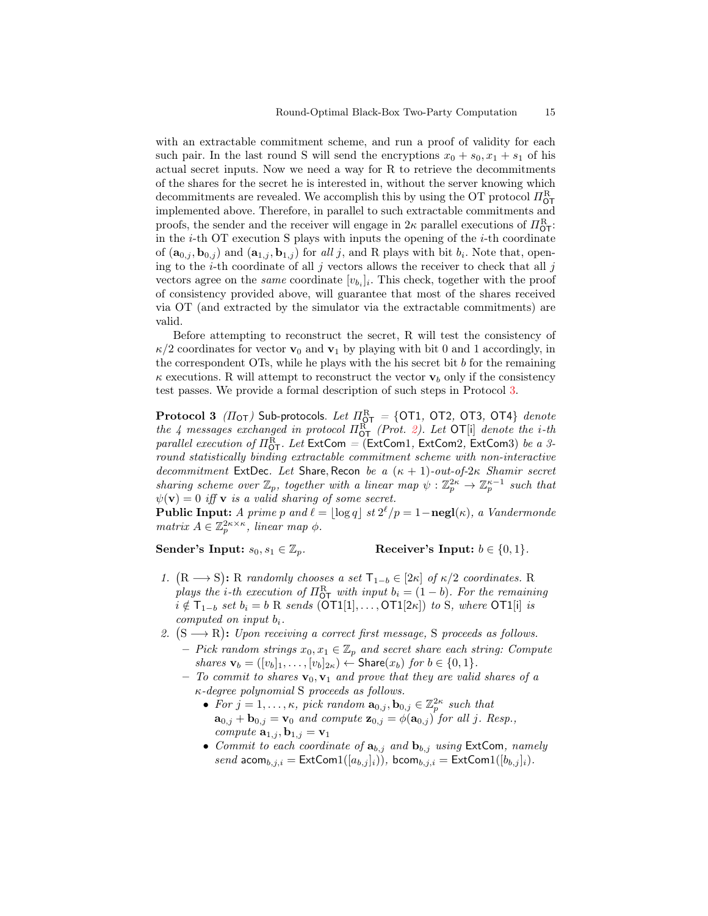with an extractable commitment scheme, and run a proof of validity for each such pair. In the last round S will send the encryptions  $x_0 + s_0, x_1 + s_1$  of his actual secret inputs. Now we need a way for R to retrieve the decommitments of the shares for the secret he is interested in, without the server knowing which decommitments are revealed. We accomplish this by using the OT protocol  $\varPi_{\mathsf{OT}}^\mathrm{R}$ implemented above. Therefore, in parallel to such extractable commitments and proofs, the sender and the receiver will engage in  $2\kappa$  parallel executions of  $\varPi_{\mathsf{OT}}^{\rm R}$ : in the  $i$ -th OT execution S plays with inputs the opening of the  $i$ -th coordinate of  $(a_{0,j}, b_{0,j})$  and  $(a_{1,j}, b_{1,j})$  for all j, and R plays with bit  $b_i$ . Note that, opening to the  $i$ -th coordinate of all  $j$  vectors allows the receiver to check that all  $j$ vectors agree on the *same* coordinate  $[v_{b_i}]_i$ . This check, together with the proof of consistency provided above, will guarantee that most of the shares received via OT (and extracted by the simulator via the extractable commitments) are valid.

Before attempting to reconstruct the secret, R will test the consistency of  $\kappa/2$  coordinates for vector  $\mathbf{v}_0$  and  $\mathbf{v}_1$  by playing with bit 0 and 1 accordingly, in the correspondent  $\overline{OTs}$ , while he plays with the his secret bit b for the remaining  $\kappa$  executions. R will attempt to reconstruct the vector  $\mathbf{v}_b$  only if the consistency test passes. We provide a formal description of such steps in Protocol [3.](#page-14-0)

<span id="page-14-0"></span> $\bf{Protocol~3}~~(H_{OT})$  Sub-protocols.  $Let~H_{OT}^{\rm R} = \{\bf{OT1},~\bf{OT2},~\bf{OT3},~\bf{OT4}\}$   $\it denote$ the 4 messages exchanged in protocol  $\Pi_{\text{OT}}^{\text{R}}$  (Prot. [2\)](#page-12-0). Let  $\text{OT}[i]$  denote the *i*-th parallel execution of  $\Pi_{\text{OT}}^{\text{R}}$ . Let ExtCom = (ExtCom1, ExtCom2, ExtCom3) be a 3round statistically binding extractable commitment scheme with non-interactive decommitment ExtDec. Let Share, Recon be a  $(\kappa + 1)$ -out-of-2 $\kappa$  Shamir secret sharing scheme over  $\mathbb{Z}_p$ , together with a linear map  $\psi : \mathbb{Z}_p^{2\kappa} \to \mathbb{Z}_p^{\kappa-1}$  such that  $\psi(\mathbf{v}) = 0$  iff **v** is a valid sharing of some secret.

**Public Input:** A prime p and  $\ell = |\log q|$  st  $2^{\ell}/p = 1 - \text{negl}(\kappa)$ , a Vandermonde matrix  $A \in \mathbb{Z}_p^{2\kappa \times \kappa}$ , linear map  $\phi$ .

Sender's Input:  $s_0, s_1 \in \mathbb{Z}_p$ .<br>Receiver's Input:  $b \in \{0, 1\}$ .

- 1.  $(R \rightarrow S)$ : R randomly chooses a set  $T_{1-b} \in [2\kappa]$  of  $\kappa/2$  coordinates. R plays the i-th execution of  $\Pi_{\text{OT}}^R$  with input  $b_i = (1 - b)$ . For the remaining  $i \notin \mathsf{T}_{1-b}$  set  $b_i = b$  R sends  $(OT1[1], \ldots, OT1[2\kappa])$  to S, where OT1[i] is computed on input bi.
- 2.  $(S \rightarrow R)$ : Upon receiving a correct first message, S proceeds as follows.
	- Pick random strings  $x_0, x_1 \in \mathbb{Z}_p$  and secret share each string: Compute shares  $\mathbf{v}_b = ([v_b]_1, \ldots, [v_b]_{2\kappa}) \leftarrow$  Share $(x_b)$  for  $b \in \{0, 1\}$ .
	- To commit to shares  $\mathbf{v}_0, \mathbf{v}_1$  and prove that they are valid shares of a κ-degree polynomial S proceeds as follows.
		- For  $j = 1, ..., \kappa$ , pick random  $\mathbf{a}_{0,j}, \mathbf{b}_{0,j} \in \mathbb{Z}_p^{2\kappa}$  such that  $\mathbf{a}_{0,j} + \mathbf{b}_{0,j} = \mathbf{v}_0$  and compute  $\mathbf{z}_{0,j} = \phi(\mathbf{a}_{0,j})$  for all j. Resp., compute  $\mathbf{a}_{1,j}, \mathbf{b}_{1,j} = \mathbf{v}_1$
		- Commit to each coordinate of  $\mathbf{a}_{b,j}$  and  $\mathbf{b}_{b,j}$  using ExtCom, namely send acom $_{b,j,i} = \text{ExtCom1}([a_{b,j}]_i)$ , bcom $_{b,j,i} = \text{ExtCom1}([b_{b,j}]_i)$ .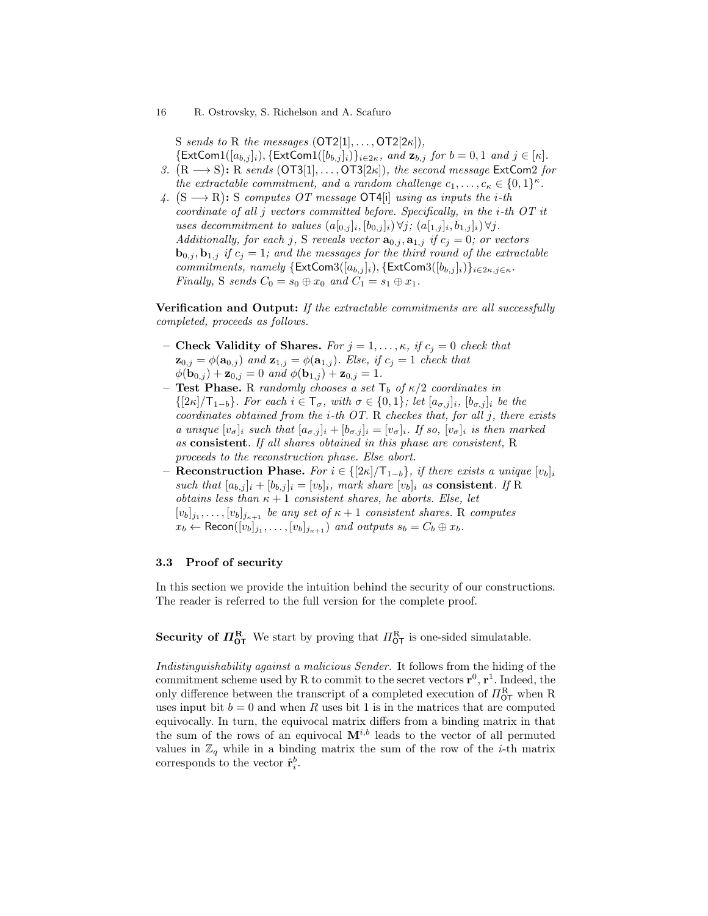S sends to R the messages  $(OT2[1], \ldots, OT2[2\kappa]),$  ${\sf ExtCom1}([a_{b,j}]_i), {\sf ExtCom1}([b_{b,j}]_i)\}_{i\in 2\kappa}, \text{ and } \mathbf{z}_{b,j} \text{ for } b=0,1 \text{ and } j\in [\kappa].$ 

- 3.  $(R \rightarrow S)$ : R sends  $(OT3[1], \ldots, OT3[2\kappa])$ , the second message ExtCom2 for the extractable commitment, and a random challenge  $c_1, \ldots, c_{\kappa} \in \{0,1\}^{\kappa}$ .
- 4.  $(S \longrightarrow R)$ : S computes OT message OT4[i] using as inputs the *i*-th coordinate of all j vectors committed before. Specifically, in the i-th OT it uses decommitment to values  $(a_{0,j}]_i, [b_{0,j}]_i \, \forall j; \, (a_{1,j}]_i, b_{1,j}]_i \, \forall j.$ Additionally, for each j, S reveals vector  $\mathbf{a}_{0,i}, \mathbf{a}_{1,j}$  if  $c_j = 0$ ; or vectors  $\mathbf{b}_{0,i}, \mathbf{b}_{1,i}$  if  $c_i = 1$ ; and the messages for the third round of the extractable commitments, namely  $\{\textsf{ExtCom3}([a_{b,j}]_i), \{\textsf{ExtCom3}([b_{b,j}]_i)\}_{i\in 2\kappa, j\in \kappa}.$ Finally, S sends  $C_0 = s_0 \oplus x_0$  and  $C_1 = s_1 \oplus x_1$ .

Verification and Output: If the extractable commitments are all successfully completed, proceeds as follows.

- Check Validity of Shares. For  $j = 1, \ldots, \kappa$ , if  $c_j = 0$  check that  $\mathbf{z}_{0,j} = \phi(\mathbf{a}_{0,j})$  and  $\mathbf{z}_{1,j} = \phi(\mathbf{a}_{1,j})$ . Else, if  $c_j = 1$  check that  $\phi(\mathbf{b}_{0,j}) + \mathbf{z}_{0,j} = 0$  and  $\phi(\mathbf{b}_{1,j}) + \mathbf{z}_{0,j} = 1$ .
- Test Phase. R randomly chooses a set  $\mathsf{T}_b$  of  $\kappa/2$  coordinates in  $\{[2\kappa]/T_{1-b}\}$ . For each  $i \in T_{\sigma}$ , with  $\sigma \in \{0,1\}$ ; let  $[a_{\sigma,i}]_i$ ,  $[b_{\sigma,i}]_i$  be the coordinates obtained from the i-th OT. R checkes that, for all j, there exists a unique  $[v_{\sigma}]_i$  such that  $[a_{\sigma,j}]_i + [b_{\sigma,j}]_i = [v_{\sigma}]_i$ . If so,  $[v_{\sigma}]_i$  is then marked as consistent. If all shares obtained in this phase are consistent, R proceeds to the reconstruction phase. Else abort.
- Reconstruction Phase. For  $i \in \{2\kappa/|T_{1-b}\}\$ , if there exists a unique  $[v_b]_i$ such that  $[a_{b,j}]_i + [b_{b,j}]_i = [v_b]_i$ , mark share  $[v_b]_i$  as **consistent**. If R obtains less than  $\kappa + 1$  consistent shares, he aborts. Else, let  $[v_b]_{j_1}, \ldots, [v_b]_{j_{\kappa+1}}$  be any set of  $\kappa+1$  consistent shares. R computes  $x_b \leftarrow \text{Recon}([v_b]_{j_1}, \dots, [v_b]_{j_{\kappa+1}})$  and outputs  $s_b = C_b \oplus x_b$ .

### 3.3 Proof of security

In this section we provide the intuition behind the security of our constructions. The reader is referred to the full version for the complete proof.

Security of  $\Pi_{\text{OT}}^R$ . We start by proving that  $\Pi_{\text{OT}}^R$  is one-sided simulatable.

Indistinguishability against a malicious Sender. It follows from the hiding of the commitment scheme used by R to commit to the secret vectors  $\mathbf{r}^0$ ,  $\mathbf{r}^1$ . Indeed, the only difference between the transcript of a completed execution of  $\varPi_{\mathsf{OT}}^{\rm R}$  when R uses input bit  $b = 0$  and when R uses bit 1 is in the matrices that are computed equivocally. In turn, the equivocal matrix differs from a binding matrix in that the sum of the rows of an equivocal  $\mathbf{M}^{i,b}$  leads to the vector of all permuted values in  $\mathbb{Z}_q$  while in a binding matrix the sum of the row of the *i*-th matrix corresponds to the vector  $\hat{\mathbf{r}}_i^b$ .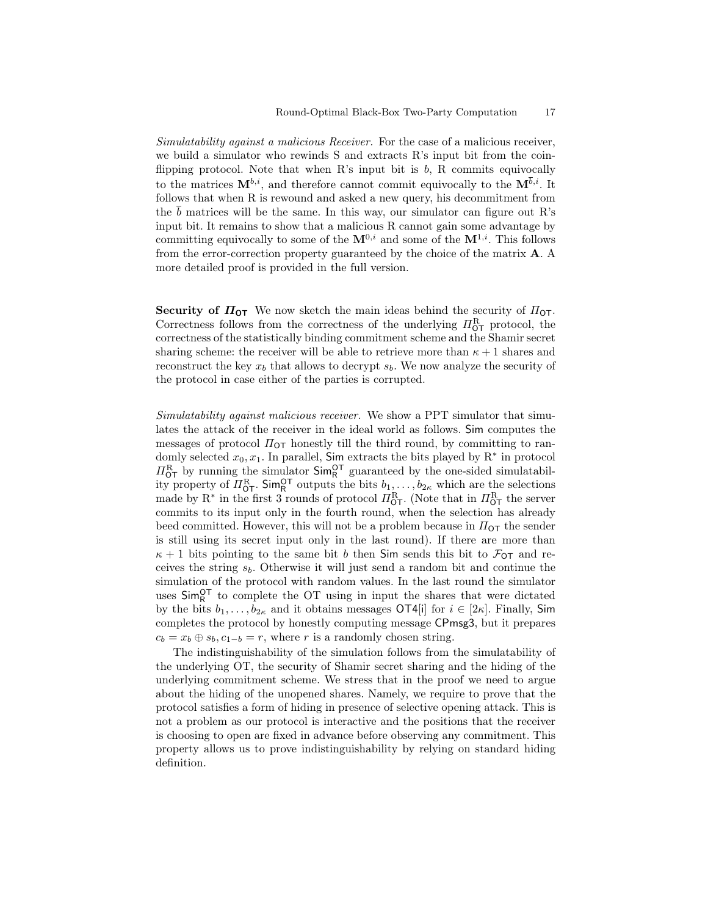Simulatability against a malicious Receiver. For the case of a malicious receiver, we build a simulator who rewinds S and extracts R's input bit from the coinflipping protocol. Note that when R's input bit is  $b$ , R commits equivocally to the matrices  $\mathbf{M}^{b,i}$ , and therefore cannot commit equivocally to the  $\mathbf{M}^{\bar{b},i}$ . It follows that when R is rewound and asked a new query, his decommitment from the  $\bar{b}$  matrices will be the same. In this way, our simulator can figure out R's input bit. It remains to show that a malicious R cannot gain some advantage by committing equivocally to some of the  $M^{0,i}$  and some of the  $M^{1,i}$ . This follows from the error-correction property guaranteed by the choice of the matrix A. A more detailed proof is provided in the full version.

Security of  $\Pi_{\text{OT}}$  We now sketch the main ideas behind the security of  $\Pi_{\text{OT}}$ . Correctness follows from the correctness of the underlying  $\Pi_{\text{OT}}^R$  protocol, the correctness of the statistically binding commitment scheme and the Shamir secret sharing scheme: the receiver will be able to retrieve more than  $\kappa + 1$  shares and reconstruct the key  $x_b$  that allows to decrypt  $s_b$ . We now analyze the security of the protocol in case either of the parties is corrupted.

Simulatability against malicious receiver. We show a PPT simulator that simulates the attack of the receiver in the ideal world as follows. Sim computes the messages of protocol  $\Pi_{\text{OT}}$  honestly till the third round, by committing to randomly selected  $x_0, x_1$ . In parallel, Sim extracts the bits played by  $\mathbb{R}^*$  in protocol  $\Pi_{\text{OT}}^{\text{R}}$  by running the simulator  $\text{Sim}_{\text{R}}^{\text{OT}}$  guaranteed by the one-sided simulatability property of  $\Pi_{\text{OT}}^R$ . Sim<sub>R</sub><sup>OT</sup> outputs the bits  $b_1, \ldots, b_{2\kappa}$  which are the selections made by  $R^*$  in the first 3 rounds of protocol  $\prod_{\sigma=1}^R$ . (Note that in  $\prod_{\sigma=1}^R$  the server commits to its input only in the fourth round, when the selection has already beed committed. However, this will not be a problem because in  $\Pi_{\text{OT}}$  the sender is still using its secret input only in the last round). If there are more than  $\kappa + 1$  bits pointing to the same bit b then Sim sends this bit to  $\mathcal{F}_{OT}$  and receives the string  $s_b$ . Otherwise it will just send a random bit and continue the simulation of the protocol with random values. In the last round the simulator uses  $\mathsf{Sim}^{\mathsf{OT}}_{\mathsf{R}}$  to complete the OT using in input the shares that were dictated by the bits  $b_1, \ldots, b_{2\kappa}$  and it obtains messages OT4[i] for  $i \in [2\kappa]$ . Finally, Sim completes the protocol by honestly computing message CPmsg3, but it prepares  $c_b = x_b \oplus s_b, c_{1-b} = r$ , where r is a randomly chosen string.

The indistinguishability of the simulation follows from the simulatability of the underlying OT, the security of Shamir secret sharing and the hiding of the underlying commitment scheme. We stress that in the proof we need to argue about the hiding of the unopened shares. Namely, we require to prove that the protocol satisfies a form of hiding in presence of selective opening attack. This is not a problem as our protocol is interactive and the positions that the receiver is choosing to open are fixed in advance before observing any commitment. This property allows us to prove indistinguishability by relying on standard hiding definition.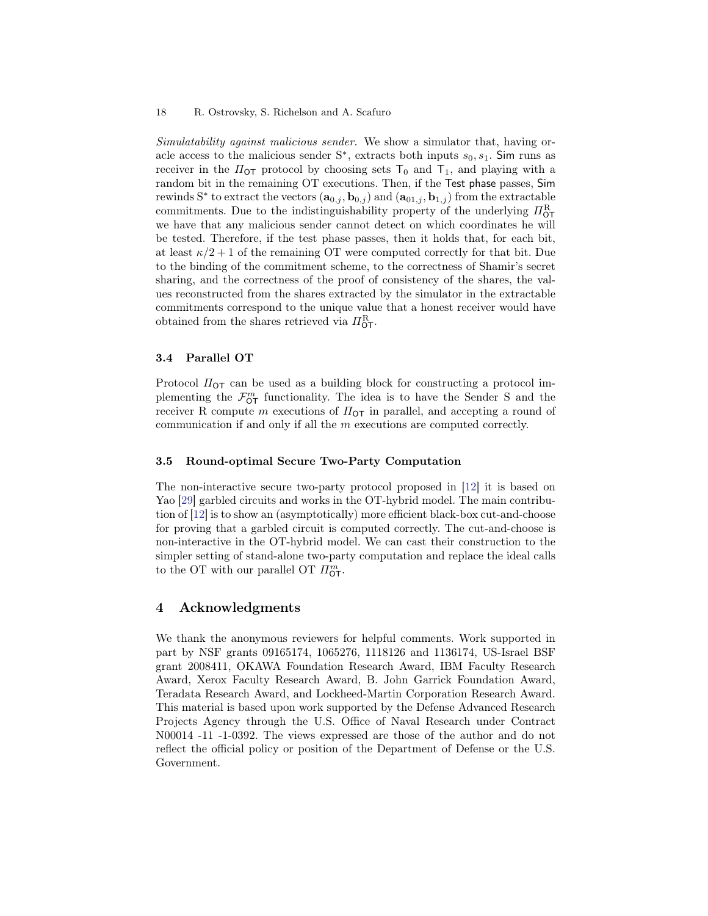Simulatability against malicious sender. We show a simulator that, having oracle access to the malicious sender  $S^*$ , extracts both inputs  $s_0, s_1$ . Sim runs as receiver in the  $\Pi_{\text{OT}}$  protocol by choosing sets  $\mathsf{T}_0$  and  $\mathsf{T}_1$ , and playing with a random bit in the remaining OT executions. Then, if the Test phase passes, Sim rewinds S<sup>\*</sup> to extract the vectors  $(a_{0,j}, b_{0,j})$  and  $(a_{01,j}, b_{1,j})$  from the extractable commitments. Due to the indistinguishability property of the underlying  $\pi_{\text{OT}}^R$ we have that any malicious sender cannot detect on which coordinates he will be tested. Therefore, if the test phase passes, then it holds that, for each bit, at least  $\kappa/2+1$  of the remaining OT were computed correctly for that bit. Due to the binding of the commitment scheme, to the correctness of Shamir's secret sharing, and the correctness of the proof of consistency of the shares, the values reconstructed from the shares extracted by the simulator in the extractable commitments correspond to the unique value that a honest receiver would have obtained from the shares retrieved via  $\pi_{\text{OT}}^R$ .

#### 3.4 Parallel OT

Protocol  $\Pi_{\text{OT}}$  can be used as a building block for constructing a protocol implementing the  $\mathcal{F}_{\text{OT}}^m$  functionality. The idea is to have the Sender S and the receiver R compute m executions of  $\Pi_{\text{OT}}$  in parallel, and accepting a round of communication if and only if all the m executions are computed correctly.

### 3.5 Round-optimal Secure Two-Party Computation

The non-interactive secure two-party protocol proposed in [\[12\]](#page-18-3) it is based on Yao [\[29\]](#page-19-2) garbled circuits and works in the OT-hybrid model. The main contribution of [\[12\]](#page-18-3) is to show an (asymptotically) more efficient black-box cut-and-choose for proving that a garbled circuit is computed correctly. The cut-and-choose is non-interactive in the OT-hybrid model. We can cast their construction to the simpler setting of stand-alone two-party computation and replace the ideal calls to the OT with our parallel OT  $\Pi_{\text{OT}}^m$ .

### 4 Acknowledgments

We thank the anonymous reviewers for helpful comments. Work supported in part by NSF grants 09165174, 1065276, 1118126 and 1136174, US-Israel BSF grant 2008411, OKAWA Foundation Research Award, IBM Faculty Research Award, Xerox Faculty Research Award, B. John Garrick Foundation Award, Teradata Research Award, and Lockheed-Martin Corporation Research Award. This material is based upon work supported by the Defense Advanced Research Projects Agency through the U.S. Office of Naval Research under Contract N00014 -11 -1-0392. The views expressed are those of the author and do not reflect the official policy or position of the Department of Defense or the U.S. Government.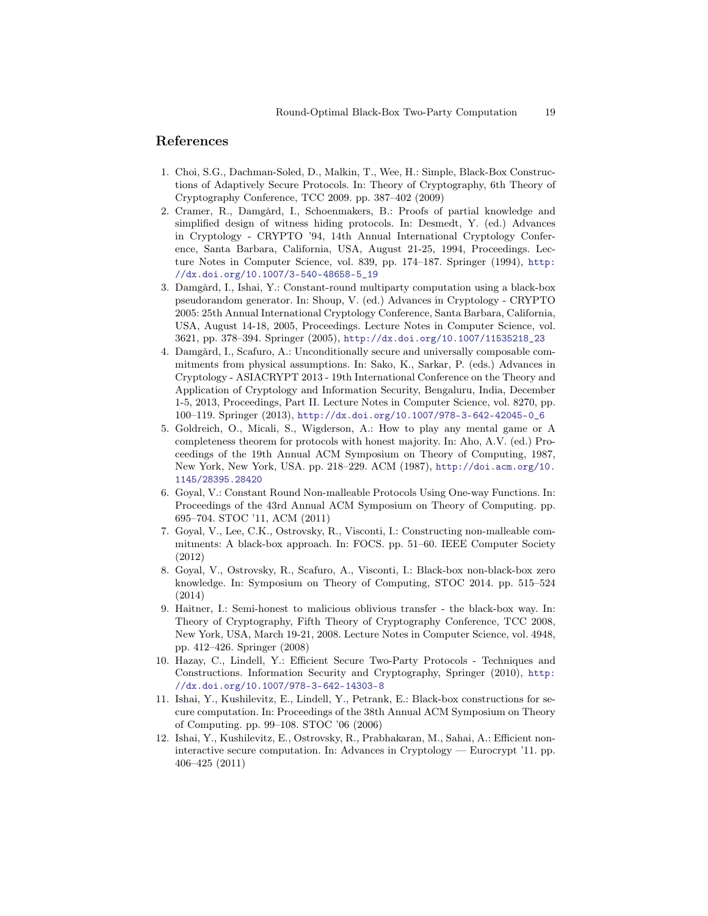### References

- <span id="page-18-2"></span>1. Choi, S.G., Dachman-Soled, D., Malkin, T., Wee, H.: Simple, Black-Box Constructions of Adaptively Secure Protocols. In: Theory of Cryptography, 6th Theory of Cryptography Conference, TCC 2009. pp. 387–402 (2009)
- <span id="page-18-6"></span>2. Cramer, R., Damgård, I., Schoenmakers, B.: Proofs of partial knowledge and simplified design of witness hiding protocols. In: Desmedt, Y. (ed.) Advances in Cryptology - CRYPTO '94, 14th Annual International Cryptology Conference, Santa Barbara, California, USA, August 21-25, 1994, Proceedings. Lecture Notes in Computer Science, vol. 839, pp. 174–187. Springer (1994), [http:](http://dx.doi.org/10.1007/3-540-48658-5_19) [//dx.doi.org/10.1007/3-540-48658-5\\_19](http://dx.doi.org/10.1007/3-540-48658-5_19)
- <span id="page-18-7"></span>3. Damgård, I., Ishai, Y.: Constant-round multiparty computation using a black-box pseudorandom generator. In: Shoup, V. (ed.) Advances in Cryptology - CRYPTO 2005: 25th Annual International Cryptology Conference, Santa Barbara, California, USA, August 14-18, 2005, Proceedings. Lecture Notes in Computer Science, vol. 3621, pp. 378–394. Springer (2005), [http://dx.doi.org/10.1007/11535218\\_23](http://dx.doi.org/10.1007/11535218_23)
- <span id="page-18-5"></span>4. Damgård, I., Scafuro, A.: Unconditionally secure and universally composable commitments from physical assumptions. In: Sako, K., Sarkar, P. (eds.) Advances in Cryptology - ASIACRYPT 2013 - 19th International Conference on the Theory and Application of Cryptology and Information Security, Bengaluru, India, December 1-5, 2013, Proceedings, Part II. Lecture Notes in Computer Science, vol. 8270, pp. 100–119. Springer (2013), [http://dx.doi.org/10.1007/978-3-642-42045-0\\_6](http://dx.doi.org/10.1007/978-3-642-42045-0_6)
- <span id="page-18-4"></span>5. Goldreich, O., Micali, S., Wigderson, A.: How to play any mental game or A completeness theorem for protocols with honest majority. In: Aho, A.V. (ed.) Proceedings of the 19th Annual ACM Symposium on Theory of Computing, 1987, New York, New York, USA. pp. 218–229. ACM (1987), [http://doi.acm.org/10.](http://doi.acm.org/10.1145/28395.28420) [1145/28395.28420](http://doi.acm.org/10.1145/28395.28420)
- <span id="page-18-8"></span>6. Goyal, V.: Constant Round Non-malleable Protocols Using One-way Functions. In: Proceedings of the 43rd Annual ACM Symposium on Theory of Computing. pp. 695–704. STOC '11, ACM (2011)
- <span id="page-18-9"></span>7. Goyal, V., Lee, C.K., Ostrovsky, R., Visconti, I.: Constructing non-malleable commitments: A black-box approach. In: FOCS. pp. 51–60. IEEE Computer Society (2012)
- <span id="page-18-10"></span>8. Goyal, V., Ostrovsky, R., Scafuro, A., Visconti, I.: Black-box non-black-box zero knowledge. In: Symposium on Theory of Computing, STOC 2014. pp. 515–524 (2014)
- <span id="page-18-1"></span>9. Haitner, I.: Semi-honest to malicious oblivious transfer - the black-box way. In: Theory of Cryptography, Fifth Theory of Cryptography Conference, TCC 2008, New York, USA, March 19-21, 2008. Lecture Notes in Computer Science, vol. 4948, pp. 412–426. Springer (2008)
- 10. Hazay, C., Lindell, Y.: Efficient Secure Two-Party Protocols Techniques and Constructions. Information Security and Cryptography, Springer (2010), [http:](http://dx.doi.org/10.1007/978-3-642-14303-8) [//dx.doi.org/10.1007/978-3-642-14303-8](http://dx.doi.org/10.1007/978-3-642-14303-8)
- <span id="page-18-0"></span>11. Ishai, Y., Kushilevitz, E., Lindell, Y., Petrank, E.: Black-box constructions for secure computation. In: Proceedings of the 38th Annual ACM Symposium on Theory of Computing. pp. 99–108. STOC '06 (2006)
- <span id="page-18-3"></span>12. Ishai, Y., Kushilevitz, E., Ostrovsky, R., Prabhakaran, M., Sahai, A.: Efficient noninteractive secure computation. In: Advances in Cryptology — Eurocrypt '11. pp. 406–425 (2011)